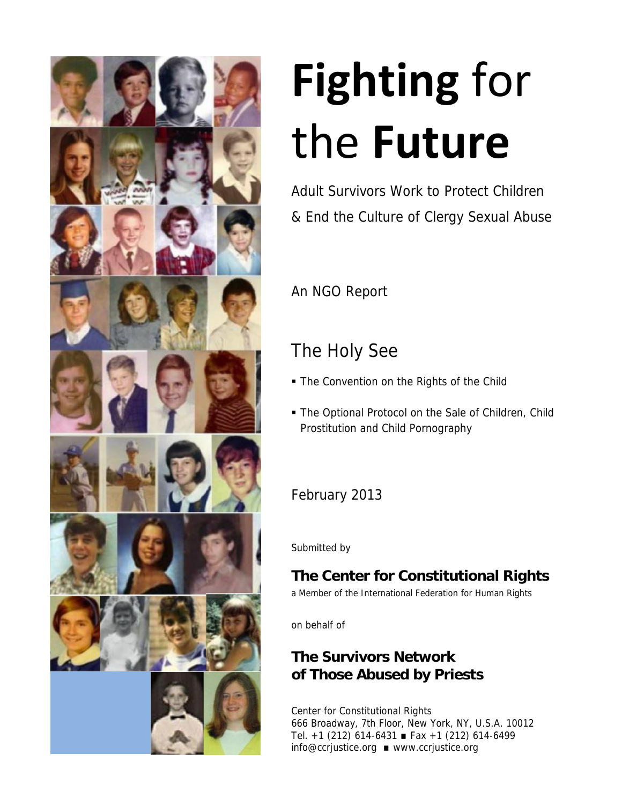

# **Fighting** for the **Future**

Adult Survivors Work to Protect Children & End the Culture of Clergy Sexual Abuse

An NGO Report

## The Holy See

- **The Convention on the Rights of the Child**
- The Optional Protocol on the Sale of Children, Child Prostitution and Child Pornography

## February 2013

Submitted by

# **The Center for Constitutional Rights**

a Member of the International Federation for Human Rights

on behalf of

## **The Survivors Network of Those Abused by Priests**

Center for Constitutional Rights 666 Broadway, 7th Floor, New York, NY, U.S.A. 10012 Tel. +1 (212) 614-6431 Fax +1 (212) 614-6499 info@ccrjustice.org www.ccrjustice.org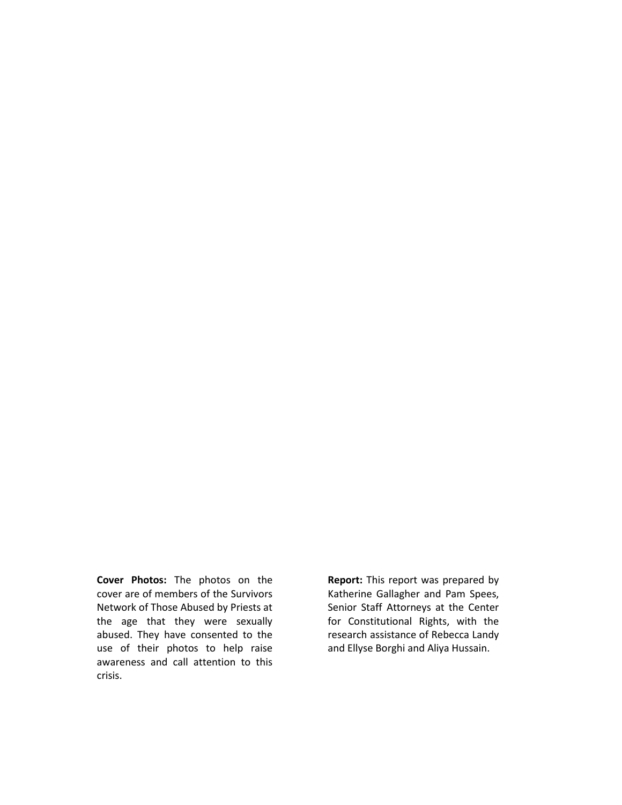**Cover Photos:** The photos on the cover are of members of the Survivors Network of Those Abused by Priests at the age that they were sexually abused. They have consented to the use of their photos to help raise awareness and call attention to this crisis.

**Report:** This report was prepared by Katherine Gallagher and Pam Spees, Senior Staff Attorneys at the Center for Constitutional Rights, with the research assistance of Rebecca Landy and Ellyse Borghi and Aliya Hussain.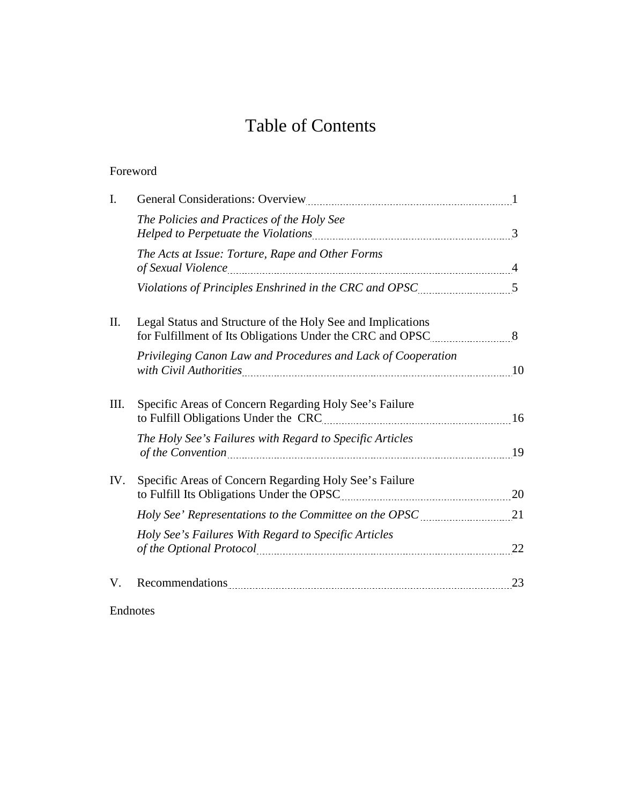## Table of Contents

#### Foreword

| $\mathbf{I}$ . |                                                                                                                                                                                                                                                                                         |  |
|----------------|-----------------------------------------------------------------------------------------------------------------------------------------------------------------------------------------------------------------------------------------------------------------------------------------|--|
|                | The Policies and Practices of the Holy See                                                                                                                                                                                                                                              |  |
|                | The Acts at Issue: Torture, Rape and Other Forms                                                                                                                                                                                                                                        |  |
|                | Violations of Principles Enshrined in the CRC and OPSC [[11, 11] 5                                                                                                                                                                                                                      |  |
| II.            | Legal Status and Structure of the Holy See and Implications<br>for Fulfillment of Its Obligations Under the CRC and OPSC 38                                                                                                                                                             |  |
|                | Privileging Canon Law and Procedures and Lack of Cooperation                                                                                                                                                                                                                            |  |
| III.           | Specific Areas of Concern Regarding Holy See's Failure                                                                                                                                                                                                                                  |  |
|                | The Holy See's Failures with Regard to Specific Articles<br>of the Convention 2000 19                                                                                                                                                                                                   |  |
| IV.            | Specific Areas of Concern Regarding Holy See's Failure<br>to Fulfill Its Obligations Under the OPSC 2020 and 2020 and 2030 and 2030 and 2030 and 2030 and 2030 and 2030 and 2030 and 2030 and 2030 and 2030 and 2030 and 2030 and 2030 and 2030 and 2030 and 2030 and 2030 and 2030 and |  |
|                |                                                                                                                                                                                                                                                                                         |  |
|                | Holy See's Failures With Regard to Specific Articles<br>of the Optional Protocol [11] 22                                                                                                                                                                                                |  |
| V.             | Recommendations 23                                                                                                                                                                                                                                                                      |  |

Endnotes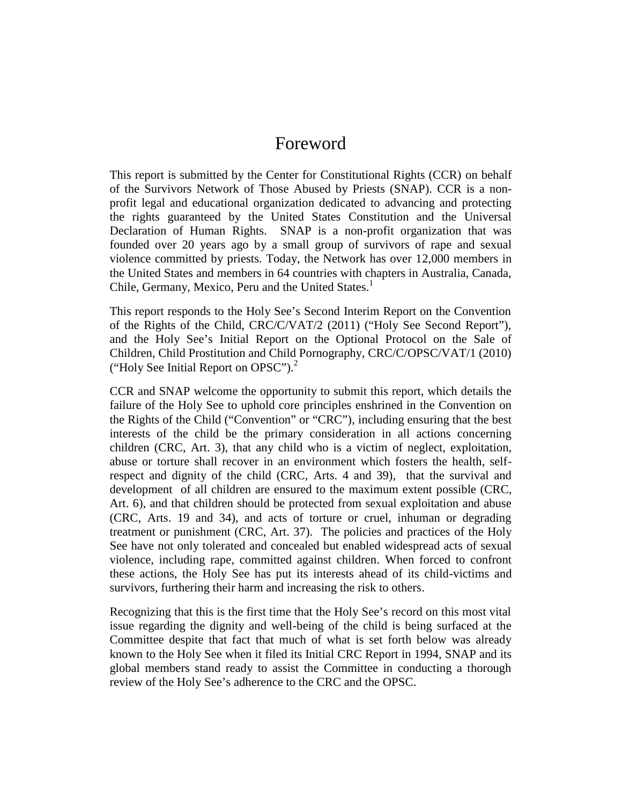### Foreword

This report is submitted by the Center for Constitutional Rights (CCR) on behalf of the Survivors Network of Those Abused by Priests (SNAP). CCR is a non profit legal and educational organization dedicated to advancing and protecting the rights guaranteed by the United States Constitution and the Universal Declaration of Human Rights. SNAP is a non-profit organization that was founded over 20 years ago by a small group of survivors of rape and sexual violence committed by priests. Today, the Network has over 12,000 members in the United States and members in 64 countries with chapters in Australia, Canada, Chile, Germany, Mexico, Peru and the United States.<sup>1</sup>

This report responds to the Holy See's Second Interim Report on the Convention of the Rights of the Child, CRC/C/VAT/2 (2011) ("Holy See Second Report"), and the Holy See's Initial Report on the Optional Protocol on the Sale of Children, Child Prostitution and Child Pornography, CRC/C/OPSC/VAT/1 (2010) ("Holy See Initial Report on OPSC").<sup>2</sup>

CCR and SNAP welcome the opportunity to submit this report, which details the failure of the Holy See to uphold core principles enshrined in the Convention on the Rights of the Child ("Convention" or "CRC"), including ensuring that the best interests of the child be the primary consideration in all actions concerning children (CRC, Art. 3), that any child who is a victim of neglect, exploitation, abuse or torture shall recover in an environment which fosters the health, selfrespect and dignity of the child (CRC, Arts. 4 and 39), that the survival and development of all children are ensured to the maximum extent possible (CRC, Art. 6), and that children should be protected from sexual exploitation and abuse (CRC, Arts. 19 and 34), and acts of torture or cruel, inhuman or degrading treatment or punishment (CRC, Art. 37). The policies and practices of the Holy See have not only tolerated and concealed but enabled widespread acts of sexual violence, including rape, committed against children. When forced to confront these actions, the Holy See has put its interests ahead of its child-victims and survivors, furthering their harm and increasing the risk to others.

Recognizing that this is the first time that the Holy See's record on this most vital issue regarding the dignity and well-being of the child is being surfaced at the Committee despite that fact that much of what is set forth below was already known to the Holy See when it filed its Initial CRC Report in 1994, SNAP and its global members stand ready to assist the Committee in conducting a thorough review of the Holy See's adherence to the CRC and the OPSC.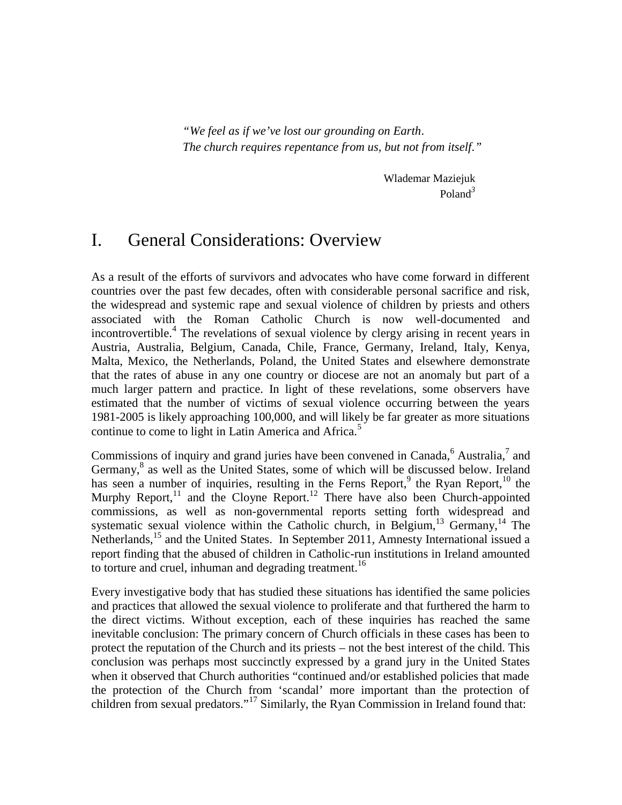*"We feel as if we've lost our grounding on Earth. The church requires repentance from us, but not from itself."*

> Wlademar Maziejuk Poland*<sup>3</sup>*

## I. General Considerations: Overview

As a result of the efforts of survivors and advocates who have come forward in different countries over the past few decades, often with considerable personal sacrifice and risk, the widespread and systemic rape and sexual violence of children by priests and others associated with the Roman Catholic Church is now well-documented and incontrovertible.<sup>4</sup> The revelations of sexual violence by clergy arising in recent years in Austria, Australia, Belgium, Canada, Chile, France, Germany, Ireland, Italy, Kenya, Malta, Mexico, the Netherlands, Poland, the United States and elsewhere demonstrate that the rates of abuse in any one country or diocese are not an anomaly but part of a much larger pattern and practice. In light of these revelations, some observers have estimated that the number of victims of sexual violence occurring between the years 1981-2005 is likely approaching 100,000, and will likely be far greater as more situations continue to come to light in Latin America and Africa.<sup>5</sup>

Commissions of inquiry and grand juries have been convened in Canada,<sup>6</sup> Australia,<sup>7</sup> and Germany,<sup>8</sup> as well as the United States, some of which will be discussed below. Ireland has seen a number of inquiries, resulting in the Ferns Report,<sup>9</sup> the Ryan Report,<sup>10</sup> the Murphy Report,<sup>11</sup> and the Cloyne Report.<sup>12</sup> There have also been Church-appointed commissions, as well as non-governmental reports setting forth widespread and systematic sexual violence within the Catholic church, in Belgium,<sup>13</sup> Germany,<sup>14</sup> The Netherlands,<sup>15</sup> and the United States. In September 2011, Amnesty International issued a report finding that the abused of children in Catholic-run institutions in Ireland amounted to torture and cruel, inhuman and degrading treatment.<sup>16</sup>

Every investigative body that has studied these situations has identified the same policies and practices that allowed the sexual violence to proliferate and that furthered the harm to the direct victims. Without exception, each of these inquiries has reached the same inevitable conclusion: The primary concern of Church officials in these cases has been to protect the reputation of the Church and its priests – not the best interest of the child. This conclusion was perhaps most succinctly expressed by a grand jury in the United States when it observed that Church authorities "continued and/or established policies that made the protection of the Church from 'scandal' more important than the protection of children from sexual predators."<sup>17</sup> Similarly, the Ryan Commission in Ireland found that: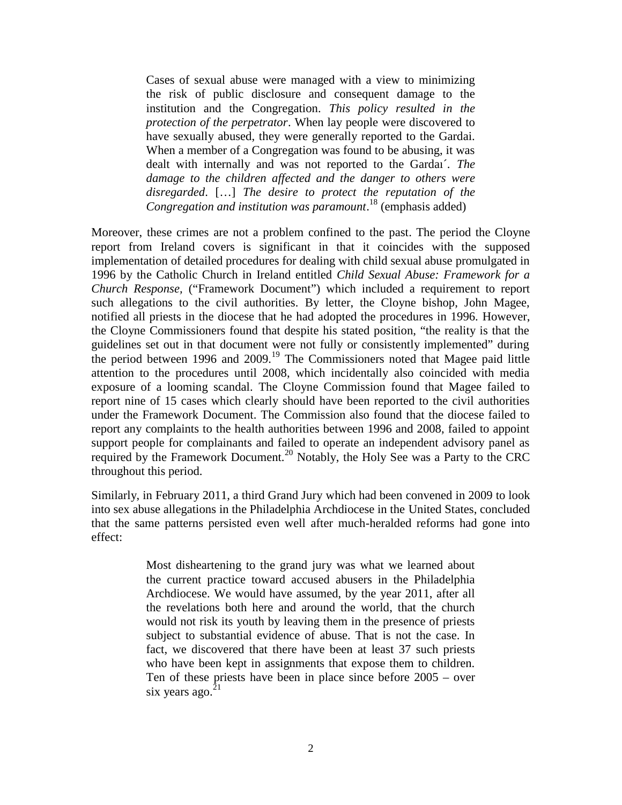Cases of sexual abuse were managed with a view to minimizing the risk of public disclosure and consequent damage to the institution and the Congregation. *This policy resulted in the protection of the perpetrator*. When lay people were discovered to have sexually abused, they were generally reported to the Gardai. When a member of a Congregation was found to be abusing, it was dealt with internally and was not reported to the Gardaı´. *The damage to the children affected and the danger to others were disregarded*. […] *The desire to protect the reputation of the Congregation and institution was paramount*.<sup>18</sup> (emphasis added)

Moreover, these crimes are not a problem confined to the past. The period the Cloyne report from Ireland covers is significant in that it coincides with the supposed implementation of detailed procedures for dealing with child sexual abuse promulgated in 1996 by the Catholic Church in Ireland entitled *Child Sexual Abuse: Framework for a Church Response,* ("Framework Document") which included a requirement to report such allegations to the civil authorities*.* By letter, the Cloyne bishop, John Magee, notified all priests in the diocese that he had adopted the procedures in 1996. However, the Cloyne Commissioners found that despite his stated position, "the reality is that the guidelines set out in that document were not fully or consistently implemented" during the period between 1996 and 2009.<sup>19</sup> The Commissioners noted that Magee paid little attention to the procedures until 2008, which incidentally also coincided with media exposure of a looming scandal. The Cloyne Commission found that Magee failed to report nine of 15 cases which clearly should have been reported to the civil authorities under the Framework Document. The Commission also found that the diocese failed to report any complaints to the health authorities between 1996 and 2008, failed to appoint support people for complainants and failed to operate an independent advisory panel as required by the Framework Document.<sup>20</sup> Notably, the Holy See was a Party to the CRC throughout this period.

Similarly, in February 2011, a third Grand Jury which had been convened in 2009 to look into sex abuse allegations in the Philadelphia Archdiocese in the United States, concluded that the same patterns persisted even well after much-heralded reforms had gone into effect:

> Most disheartening to the grand jury was what we learned about the current practice toward accused abusers in the Philadelphia Archdiocese. We would have assumed, by the year 2011, after all the revelations both here and around the world, that the church would not risk its youth by leaving them in the presence of priests subject to substantial evidence of abuse. That is not the case. In fact, we discovered that there have been at least 37 such priests who have been kept in assignments that expose them to children. Ten of these priests have been in place since before 2005 – over six years ago. $^{21}$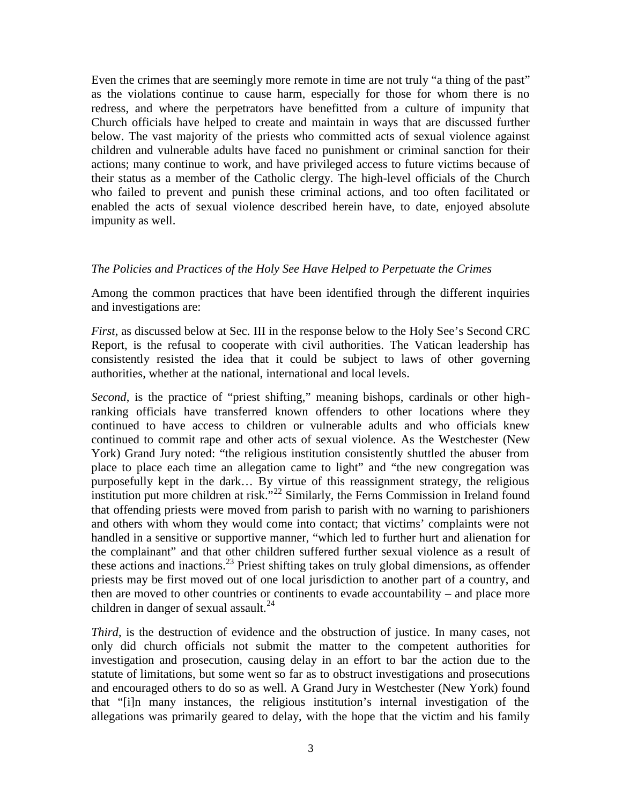Even the crimes that are seemingly more remote in time are not truly "a thing of the past" as the violations continue to cause harm, especially for those for whom there is no redress, and where the perpetrators have benefitted from a culture of impunity that Church officials have helped to create and maintain in ways that are discussed further below. The vast majority of the priests who committed acts of sexual violence against children and vulnerable adults have faced no punishment or criminal sanction for their actions; many continue to work, and have privileged access to future victims because of their status as a member of the Catholic clergy. The high-level officials of the Church who failed to prevent and punish these criminal actions, and too often facilitated or enabled the acts of sexual violence described herein have, to date, enjoyed absolute impunity as well.

#### *The Policies and Practices of the Holy See Have Helped to Perpetuate the Crimes*

Among the common practices that have been identified through the different inquiries and investigations are:

*First*, as discussed below at Sec. III in the response below to the Holy See's Second CRC Report, is the refusal to cooperate with civil authorities. The Vatican leadership has consistently resisted the idea that it could be subject to laws of other governing authorities, whether at the national, international and local levels.

*Second*, is the practice of "priest shifting," meaning bishops, cardinals or other highranking officials have transferred known offenders to other locations where they continued to have access to children or vulnerable adults and who officials knew continued to commit rape and other acts of sexual violence. As the Westchester (New York) Grand Jury noted: "the religious institution consistently shuttled the abuser from place to place each time an allegation came to light" and "the new congregation was purposefully kept in the dark… By virtue of this reassignment strategy, the religious institution put more children at risk.<sup>"22</sup> Similarly, the Ferns Commission in Ireland found that offending priests were moved from parish to parish with no warning to parishioners and others with whom they would come into contact; that victims' complaints were not handled in a sensitive or supportive manner, "which led to further hurt and alienation for the complainant" and that other children suffered further sexual violence as a result of these actions and inactions.<sup>23</sup> Priest shifting takes on truly global dimensions, as offender priests may be first moved out of one local jurisdiction to another part of a country, and then are moved to other countries or continents to evade accountability – and place more children in danger of sexual assault.<sup>24</sup>

*Third*, is the destruction of evidence and the obstruction of justice. In many cases, not only did church officials not submit the matter to the competent authorities for investigation and prosecution, causing delay in an effort to bar the action due to the statute of limitations, but some went so far as to obstruct investigations and prosecutions and encouraged others to do so as well. A Grand Jury in Westchester (New York) found that "[i]n many instances, the religious institution's internal investigation of the allegations was primarily geared to delay, with the hope that the victim and his family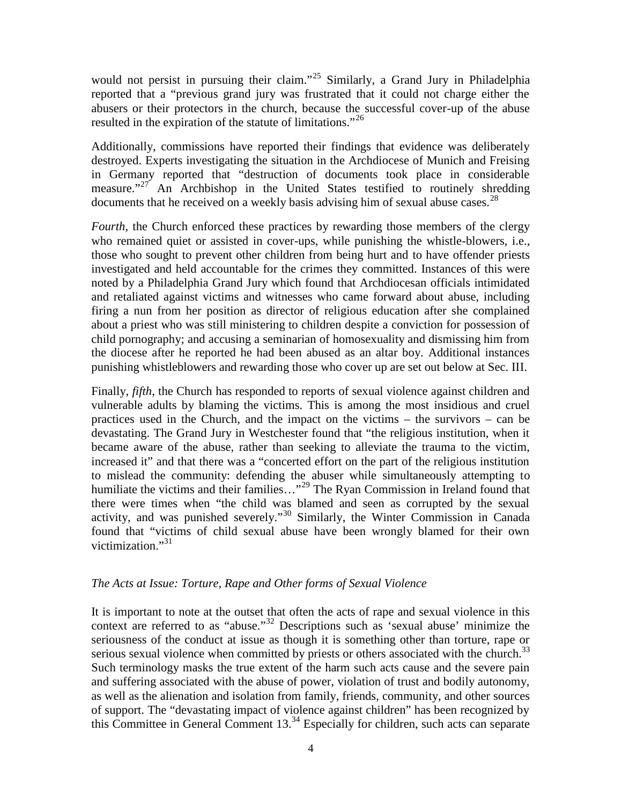would not persist in pursuing their claim."<sup>25</sup> Similarly, a Grand Jury in Philadelphia reported that a "previous grand jury was frustrated that it could not charge either the abusers or their protectors in the church, because the successful cover-up of the abuse resulted in the expiration of the statute of limitations."<sup>26</sup>

Additionally, commissions have reported their findings that evidence was deliberately destroyed. Experts investigating the situation in the Archdiocese of Munich and Freising in Germany reported that "destruction of documents took place in considerable measure."<sup>27</sup> An Archbishop in the United States testified to routinely shredding documents that he received on a weekly basis advising him of sexual abuse cases.<sup>28</sup>

*Fourth*, the Church enforced these practices by rewarding those members of the clergy who remained quiet or assisted in cover-ups, while punishing the whistle-blowers, i.e., those who sought to prevent other children from being hurt and to have offender priests investigated and held accountable for the crimes they committed. Instances of this were noted by a Philadelphia Grand Jury which found that Archdiocesan officials intimidated and retaliated against victims and witnesses who came forward about abuse, including firing a nun from her position as director of religious education after she complained about a priest who was still ministering to children despite a conviction for possession of child pornography; and accusing a seminarian of homosexuality and dismissing him from the diocese after he reported he had been abused as an altar boy. Additional instances punishing whistleblowers and rewarding those who cover up are set out below at Sec. III.

Finally, *fifth*, the Church has responded to reports of sexual violence against children and vulnerable adults by blaming the victims. This is among the most insidious and cruel practices used in the Church, and the impact on the victims – the survivors – can be devastating. The Grand Jury in Westchester found that "the religious institution, when it became aware of the abuse, rather than seeking to alleviate the trauma to the victim, increased it" and that there was a "concerted effort on the part of the religious institution to mislead the community: defending the abuser while simultaneously attempting to humiliate the victims and their families..."<sup>29</sup> The Ryan Commission in Ireland found that there were times when "the child was blamed and seen as corrupted by the sexual activity, and was punished severely."<sup>30</sup> Similarly, the Winter Commission in Canada found that "victims of child sexual abuse have been wrongly blamed for their own victimization."<sup>31</sup>

#### *The Acts at Issue: Torture, Rape and Other forms of Sexual Violence*

It is important to note at the outset that often the acts of rape and sexual violence in this context are referred to as "abuse."<sup>32</sup> Descriptions such as 'sexual abuse' minimize the seriousness of the conduct at issue as though it is something other than torture, rape or serious sexual violence when committed by priests or others associated with the church.<sup>33</sup> Such terminology masks the true extent of the harm such acts cause and the severe pain and suffering associated with the abuse of power, violation of trust and bodily autonomy, as well as the alienation and isolation from family, friends, community, and other sources of support. The "devastating impact of violence against children" has been recognized by this Committee in General Comment  $13<sup>34</sup>$  Especially for children, such acts can separate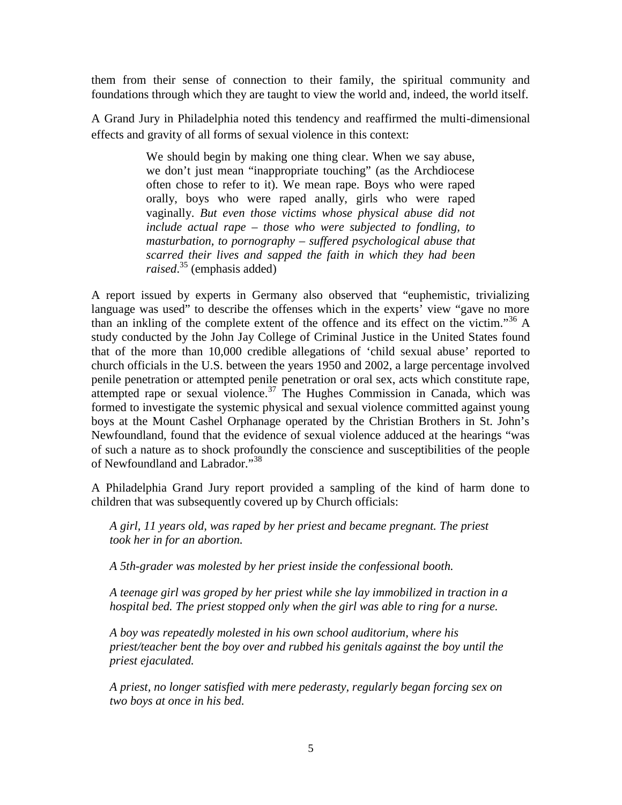them from their sense of connection to their family, the spiritual community and foundations through which they are taught to view the world and, indeed, the world itself.

A Grand Jury in Philadelphia noted this tendency and reaffirmed the multi-dimensional effects and gravity of all forms of sexual violence in this context:

> We should begin by making one thing clear. When we say abuse, we don't just mean "inappropriate touching" (as the Archdiocese often chose to refer to it). We mean rape. Boys who were raped orally, boys who were raped anally, girls who were raped vaginally. *But even those victims whose physical abuse did not include actual rape – those who were subjected to fondling, to masturbation, to pornography – suffered psychological abuse that scarred their lives and sapped the faith in which they had been raised.*<sup>35</sup> (emphasis added)

A report issued by experts in Germany also observed that "euphemistic, trivializing language was used" to describe the offenses which in the experts' view "gave no more than an inkling of the complete extent of the offence and its effect on the victim.<sup>356</sup> A study conducted by the John Jay College of Criminal Justice in the United States found that of the more than 10,000 credible allegations of 'child sexual abuse' reported to church officials in the U.S. between the years 1950 and 2002, a large percentage involved penile penetration or attempted penile penetration or oral sex, acts which constitute rape, attempted rape or sexual violence.<sup>37</sup> The Hughes Commission in Canada, which was formed to investigate the systemic physical and sexual violence committed against young boys at the Mount Cashel Orphanage operated by the Christian Brothers in St. John's Newfoundland, found that the evidence of sexual violence adduced at the hearings "was of such a nature as to shock profoundly the conscience and susceptibilities of the people of Newfoundland and Labrador."<sup>38</sup>

A Philadelphia Grand Jury report provided a sampling of the kind of harm done to children that was subsequently covered up by Church officials:

*A girl, 11 years old, was raped by her priest and became pregnant. The priest took her in for an abortion.*

*A 5th-grader was molested by her priest inside the confessional booth.*

*A teenage girl was groped by her priest while she lay immobilized in traction in a hospital bed. The priest stopped only when the girl was able to ring for a nurse.*

*A boy was repeatedly molested in his own school auditorium, where his priest/teacher bent the boy over and rubbed his genitals against the boy until the priest ejaculated.*

*A priest, no longer satisfied with mere pederasty, regularly began forcing sex on two boys at once in his bed.*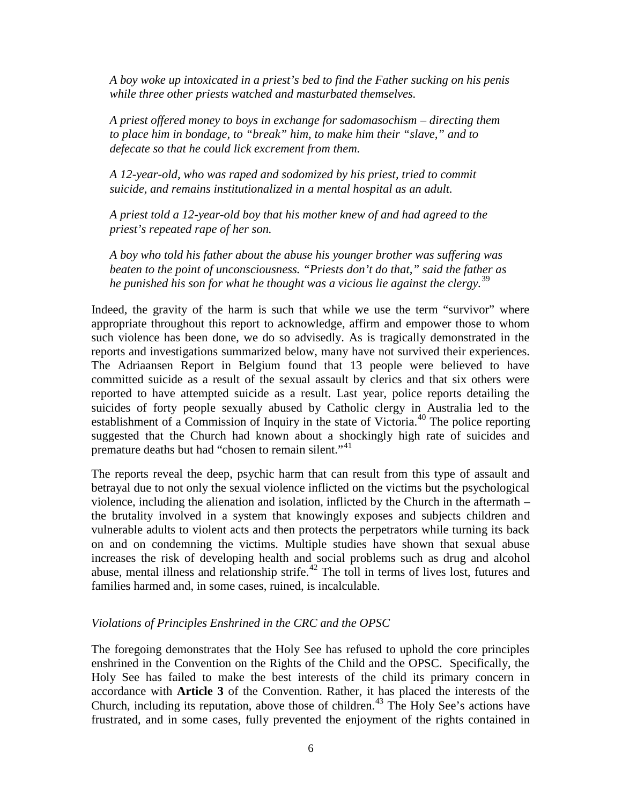*A boy woke up intoxicated in a priest's bed to find the Father sucking on his penis while three other priests watched and masturbated themselves.*

*A priest offered money to boys in exchange for sadomasochism – directing them to place him in bondage, to "break" him, to make him their "slave," and to defecate so that he could lick excrement from them.*

*A 12-year-old, who was raped and sodomized by his priest, tried to commit suicide, and remains institutionalized in a mental hospital as an adult.*

*A priest told a 12-year-old boy that his mother knew of and had agreed to the priest's repeated rape of her son.*

*A boy who told his father about the abuse his younger brother was suffering was beaten to the point of unconsciousness. "Priests don't do that," said the father as he punished his son for what he thought was a vicious lie against the clergy.*<sup>39</sup>

Indeed, the gravity of the harm is such that while we use the term "survivor" where appropriate throughout this report to acknowledge, affirm and empower those to whom such violence has been done, we do so advisedly. As is tragically demonstrated in the reports and investigations summarized below, many have not survived their experiences. The Adriaansen Report in Belgium found that 13 people were believed to have committed suicide as a result of the sexual assault by clerics and that six others were reported to have attempted suicide as a result. Last year, police reports detailing the suicides of forty people sexually abused by Catholic clergy in Australia led to the establishment of a Commission of Inquiry in the state of Victoria.<sup>40</sup> The police reporting suggested that the Church had known about a shockingly high rate of suicides and premature deaths but had "chosen to remain silent."<sup>41</sup>

The reports reveal the deep, psychic harm that can result from this type of assault and betrayal due to not only the sexual violence inflicted on the victims but the psychological violence, including the alienation and isolation, inflicted by the Church in the aftermath – the brutality involved in a system that knowingly exposes and subjects children and vulnerable adults to violent acts and then protects the perpetrators while turning its back on and on condemning the victims. Multiple studies have shown that sexual abuse increases the risk of developing health and social problems such as drug and alcohol abuse, mental illness and relationship strife.<sup>42</sup> The toll in terms of lives lost, futures and families harmed and, in some cases, ruined, is incalculable.

#### *Violations of Principles Enshrined in the CRC and the OPSC*

The foregoing demonstrates that the Holy See has refused to uphold the core principles enshrined in the Convention on the Rights of the Child and the OPSC. Specifically, the Holy See has failed to make the best interests of the child its primary concern in accordance with **Article 3** of the Convention. Rather, it has placed the interests of the Church, including its reputation, above those of children.<sup>43</sup> The Holy See's actions have frustrated, and in some cases, fully prevented the enjoyment of the rights contained in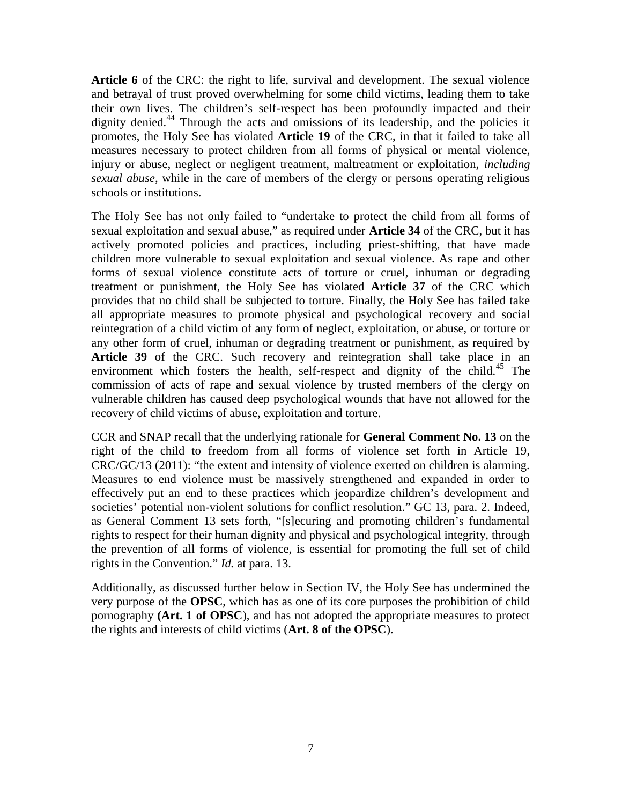**Article 6** of the CRC: the right to life, survival and development. The sexual violence and betrayal of trust proved overwhelming for some child victims, leading them to take their own lives. The children's self-respect has been profoundly impacted and their dignity denied.<sup>44</sup> Through the acts and omissions of its leadership, and the policies it promotes, the Holy See has violated **Article 19** of the CRC, in that it failed to take all measures necessary to protect children from all forms of physical or mental violence, injury or abuse, neglect or negligent treatment, maltreatment or exploitation, *including sexual abuse*, while in the care of members of the clergy or persons operating religious schools or institutions.

The Holy See has not only failed to "undertake to protect the child from all forms of sexual exploitation and sexual abuse," as required under **Article 34** of the CRC, but it has actively promoted policies and practices, including priest-shifting, that have made children more vulnerable to sexual exploitation and sexual violence. As rape and other forms of sexual violence constitute acts of torture or cruel, inhuman or degrading treatment or punishment, the Holy See has violated **Article 37** of the CRC which provides that no child shall be subjected to torture. Finally, the Holy See has failed take all appropriate measures to promote physical and psychological recovery and social reintegration of a child victim of any form of neglect, exploitation, or abuse, or torture or any other form of cruel, inhuman or degrading treatment or punishment, as required by Article 39 of the CRC. Such recovery and reintegration shall take place in an environment which fosters the health, self-respect and dignity of the child.<sup>45</sup> The commission of acts of rape and sexual violence by trusted members of the clergy on vulnerable children has caused deep psychological wounds that have not allowed for the recovery of child victims of abuse, exploitation and torture.

CCR and SNAP recall that the underlying rationale for **General Comment No. 13** on the right of the child to freedom from all forms of violence set forth in Article 19, CRC/GC/13 (2011): "the extent and intensity of violence exerted on children is alarming. Measures to end violence must be massively strengthened and expanded in order to effectively put an end to these practices which jeopardize children's development and societies' potential non-violent solutions for conflict resolution." GC 13, para. 2. Indeed, as General Comment 13 sets forth, "[s]ecuring and promoting children's fundamental rights to respect for their human dignity and physical and psychological integrity, through the prevention of all forms of violence, is essential for promoting the full set of child rights in the Convention." *Id.* at para. 13.

Additionally, as discussed further below in Section IV, the Holy See has undermined the very purpose of the **OPSC**, which has as one of its core purposes the prohibition of child pornography **(Art. 1 of OPSC**), and has not adopted the appropriate measures to protect the rights and interests of child victims (**Art. 8 of the OPSC**).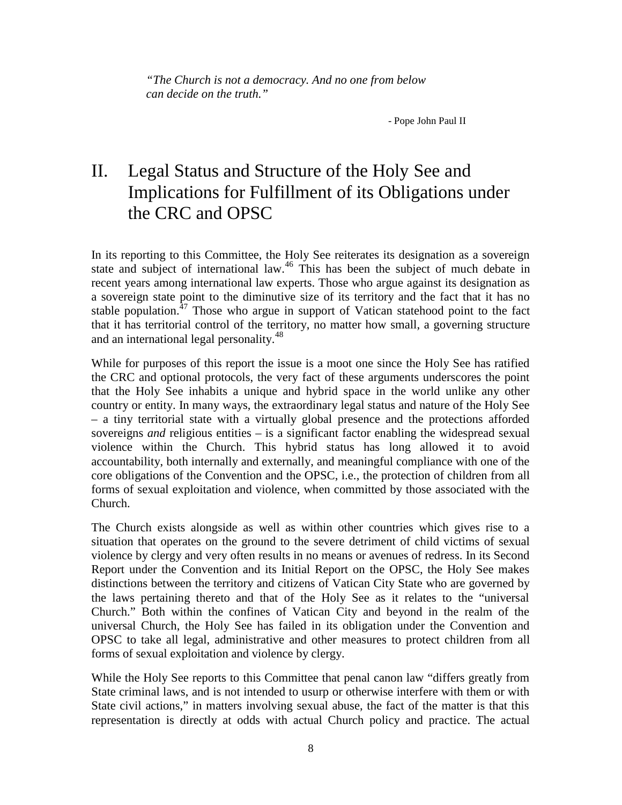*"The Church is not a democracy. And no one from below can decide on the truth."*

- Pope John Paul II

## II. Legal Status and Structure of the Holy See and Implications for Fulfillment of its Obligations under the CRC and OPSC

In its reporting to this Committee, the Holy See reiterates its designation as a sovereign state and subject of international law.<sup>46</sup> This has been the subject of much debate in recent years among international law experts. Those who argue against its designation as a sovereign state point to the diminutive size of its territory and the fact that it has no stable population. $^{47}$  Those who argue in support of Vatican statehood point to the fact that it has territorial control of the territory, no matter how small, a governing structure and an international legal personality.<sup>48</sup>

While for purposes of this report the issue is a moot one since the Holy See has ratified the CRC and optional protocols, the very fact of these arguments underscores the point that the Holy See inhabits a unique and hybrid space in the world unlike any other country or entity. In many ways, the extraordinary legal status and nature of the Holy See – a tiny territorial state with a virtually global presence and the protections afforded sovereigns *and* religious entities – is a significant factor enabling the widespread sexual violence within the Church. This hybrid status has long allowed it to avoid accountability, both internally and externally, and meaningful compliance with one of the core obligations of the Convention and the OPSC, i.e., the protection of children from all forms of sexual exploitation and violence, when committed by those associated with the Church.

The Church exists alongside as well as within other countries which gives rise to a situation that operates on the ground to the severe detriment of child victims of sexual violence by clergy and very often results in no means or avenues of redress. In its Second Report under the Convention and its Initial Report on the OPSC, the Holy See makes distinctions between the territory and citizens of Vatican City State who are governed by the laws pertaining thereto and that of the Holy See as it relates to the "universal Church." Both within the confines of Vatican City and beyond in the realm of the universal Church, the Holy See has failed in its obligation under the Convention and OPSC to take all legal, administrative and other measures to protect children from all forms of sexual exploitation and violence by clergy.

While the Holy See reports to this Committee that penal canon law "differs greatly from State criminal laws, and is not intended to usurp or otherwise interfere with them or with State civil actions," in matters involving sexual abuse, the fact of the matter is that this representation is directly at odds with actual Church policy and practice. The actual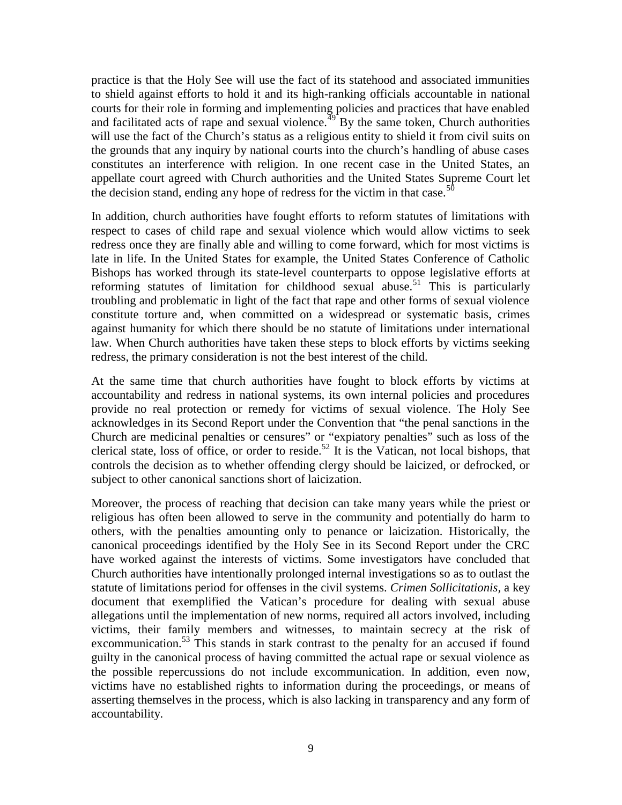practice is that the Holy See will use the fact of its statehood and associated immunities to shield against efforts to hold it and its high-ranking officials accountable in national courts for their role in forming and implementing policies and practices that have enabled and facilitated acts of rape and sexual violence. $49$  By the same token, Church authorities will use the fact of the Church's status as a religious entity to shield it from civil suits on the grounds that any inquiry by national courts into the church's handling of abuse cases constitutes an interference with religion. In one recent case in the United States, an appellate court agreed with Church authorities and the United States Supreme Court let the decision stand, ending any hope of redress for the victim in that case.<sup>50</sup>

In addition, church authorities have fought efforts to reform statutes of limitations with respect to cases of child rape and sexual violence which would allow victims to seek redress once they are finally able and willing to come forward, which for most victims is late in life. In the United States for example, the United States Conference of Catholic Bishops has worked through its state-level counterparts to oppose legislative efforts at reforming statutes of limitation for childhood sexual abuse.<sup>51</sup> This is particularly troubling and problematic in light of the fact that rape and other forms of sexual violence constitute torture and, when committed on a widespread or systematic basis, crimes against humanity for which there should be no statute of limitations under international law. When Church authorities have taken these steps to block efforts by victims seeking redress, the primary consideration is not the best interest of the child.

At the same time that church authorities have fought to block efforts by victims at accountability and redress in national systems, its own internal policies and procedures provide no real protection or remedy for victims of sexual violence. The Holy See acknowledges in its Second Report under the Convention that "the penal sanctions in the Church are medicinal penalties or censures" or "expiatory penalties" such as loss of the clerical state, loss of office, or order to reside.<sup>52</sup> It is the Vatican, not local bishops, that controls the decision as to whether offending clergy should be laicized, or defrocked, or subject to other canonical sanctions short of laicization.

Moreover, the process of reaching that decision can take many years while the priest or religious has often been allowed to serve in the community and potentially do harm to others, with the penalties amounting only to penance or laicization. Historically, the canonical proceedings identified by the Holy See in its Second Report under the CRC have worked against the interests of victims. Some investigators have concluded that Church authorities have intentionally prolonged internal investigations so as to outlast the statute of limitations period for offenses in the civil systems. *Crimen Sollicitationis,* a key document that exemplified the Vatican's procedure for dealing with sexual abuse allegations until the implementation of new norms, required all actors involved, including victims, their family members and witnesses, to maintain secrecy at the risk of excommunication.<sup>53</sup> This stands in stark contrast to the penalty for an accused if found guilty in the canonical process of having committed the actual rape or sexual violence as the possible repercussions do not include excommunication. In addition, even now, victims have no established rights to information during the proceedings, or means of asserting themselves in the process, which is also lacking in transparency and any form of accountability.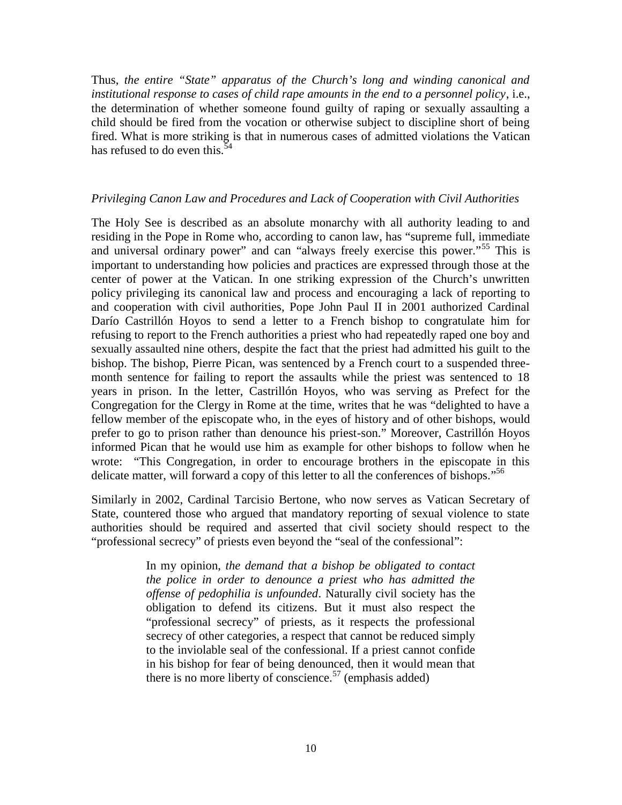Thus, *the entire "State" apparatus of the Church's long and winding canonical and institutional response to cases of child rape amounts in the end to a personnel policy*, i.e., the determination of whether someone found guilty of raping or sexually assaulting a child should be fired from the vocation or otherwise subject to discipline short of being fired. What is more striking is that in numerous cases of admitted violations the Vatican has refused to do even this.<sup>5</sup>

#### *Privileging Canon Law and Procedures and Lack of Cooperation with Civil Authorities*

The Holy See is described as an absolute monarchy with all authority leading to and residing in the Pope in Rome who, according to canon law, has "supreme full, immediate and universal ordinary power" and can "always freely exercise this power."<sup>55</sup> This is important to understanding how policies and practices are expressed through those at the center of power at the Vatican. In one striking expression of the Church's unwritten policy privileging its canonical law and process and encouraging a lack of reporting to and cooperation with civil authorities, Pope John Paul II in 2001 authorized Cardinal Darío Castrillón Hoyos to send a letter to a French bishop to congratulate him for refusing to report to the French authorities a priest who had repeatedly raped one boy and sexually assaulted nine others, despite the fact that the priest had admitted his guilt to the bishop. The bishop, Pierre Pican, was sentenced by a French court to a suspended three month sentence for failing to report the assaults while the priest was sentenced to 18 years in prison. In the letter, Castrillón Hoyos, who was serving as Prefect for the Congregation for the Clergy in Rome at the time, writes that he was "delighted to have a fellow member of the episcopate who, in the eyes of history and of other bishops, would prefer to go to prison rather than denounce his priest-son." Moreover, Castrillón Hoyos informed Pican that he would use him as example for other bishops to follow when he wrote: "This Congregation, in order to encourage brothers in the episcopate in this delicate matter, will forward a copy of this letter to all the conferences of bishops."<sup>56</sup>

Similarly in 2002, Cardinal Tarcisio Bertone, who now serves as Vatican Secretary of State, countered those who argued that mandatory reporting of sexual violence to state authorities should be required and asserted that civil society should respect to the "professional secrecy" of priests even beyond the "seal of the confessional":

> In my opinion, *the demand that a bishop be obligated to contact the police in order to denounce a priest who has admitted the offense of pedophilia is unfounded*. Naturally civil society has the obligation to defend its citizens. But it must also respect the "professional secrecy" of priests, as it respects the professional secrecy of other categories, a respect that cannot be reduced simply to the inviolable seal of the confessional. If a priest cannot confide in his bishop for fear of being denounced, then it would mean that there is no more liberty of conscience.<sup>57</sup> (emphasis added)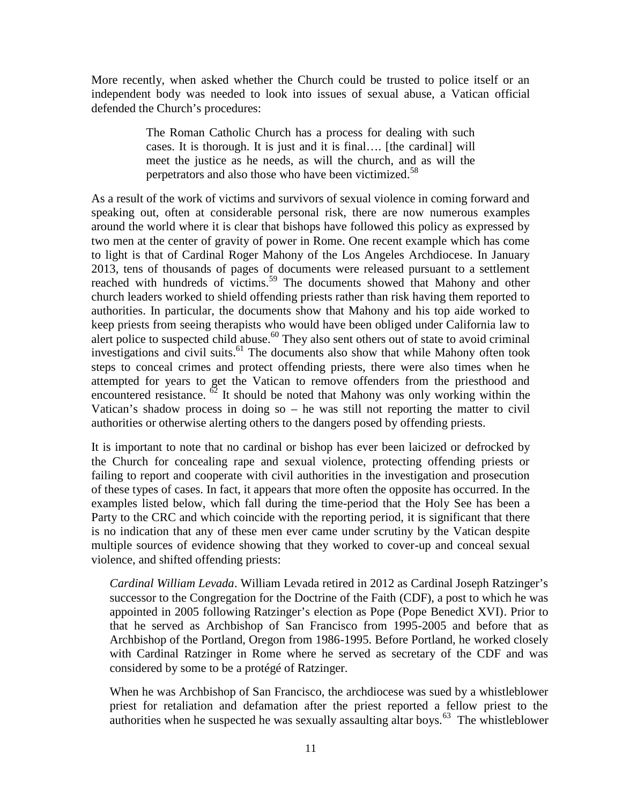More recently, when asked whether the Church could be trusted to police itself or an independent body was needed to look into issues of sexual abuse, a Vatican official defended the Church's procedures:

> The Roman Catholic Church has a process for dealing with such cases. It is thorough. It is just and it is final…. [the cardinal] will meet the justice as he needs, as will the church, and as will the perpetrators and also those who have been victimized.<sup>58</sup>

As a result of the work of victims and survivors of sexual violence in coming forward and speaking out, often at considerable personal risk, there are now numerous examples around the world where it is clear that bishops have followed this policy as expressed by two men at the center of gravity of power in Rome. One recent example which has come to light is that of Cardinal Roger Mahony of the Los Angeles Archdiocese. In January 2013, tens of thousands of pages of documents were released pursuant to a settlement reached with hundreds of victims.<sup>59</sup> The documents showed that Mahony and other church leaders worked to shield offending priests rather than risk having them reported to authorities. In particular, the documents show that Mahony and his top aide worked to keep priests from seeing therapists who would have been obliged under California law to alert police to suspected child abuse.<sup>60</sup> They also sent others out of state to avoid criminal investigations and civil suits.<sup>61</sup> The documents also show that while Mahony often took steps to conceal crimes and protect offending priests, there were also times when he attempted for years to get the Vatican to remove offenders from the priesthood and encountered resistance.  $\frac{62}{2}$  It should be noted that Mahony was only working within the Vatican's shadow process in doing so – he was still not reporting the matter to civil authorities or otherwise alerting others to the dangers posed by offending priests.

It is important to note that no cardinal or bishop has ever been laicized or defrocked by the Church for concealing rape and sexual violence, protecting offending priests or failing to report and cooperate with civil authorities in the investigation and prosecution of these types of cases. In fact, it appears that more often the opposite has occurred. In the examples listed below, which fall during the time-period that the Holy See has been a Party to the CRC and which coincide with the reporting period, it is significant that there is no indication that any of these men ever came under scrutiny by the Vatican despite multiple sources of evidence showing that they worked to cover-up and conceal sexual violence, and shifted offending priests:

*Cardinal William Levada*. William Levada retired in 2012 as Cardinal Joseph Ratzinger's successor to the Congregation for the Doctrine of the Faith (CDF), a post to which he was appointed in 2005 following Ratzinger's election as Pope (Pope Benedict XVI). Prior to that he served as Archbishop of San Francisco from 1995-2005 and before that as Archbishop of the Portland, Oregon from 1986-1995. Before Portland, he worked closely with Cardinal Ratzinger in Rome where he served as secretary of the CDF and was considered by some to be a protégé of Ratzinger.

When he was Archbishop of San Francisco, the archdiocese was sued by a whistleblower priest for retaliation and defamation after the priest reported a fellow priest to the authorities when he suspected he was sexually assaulting altar boys. $^{63}$  The whistleblower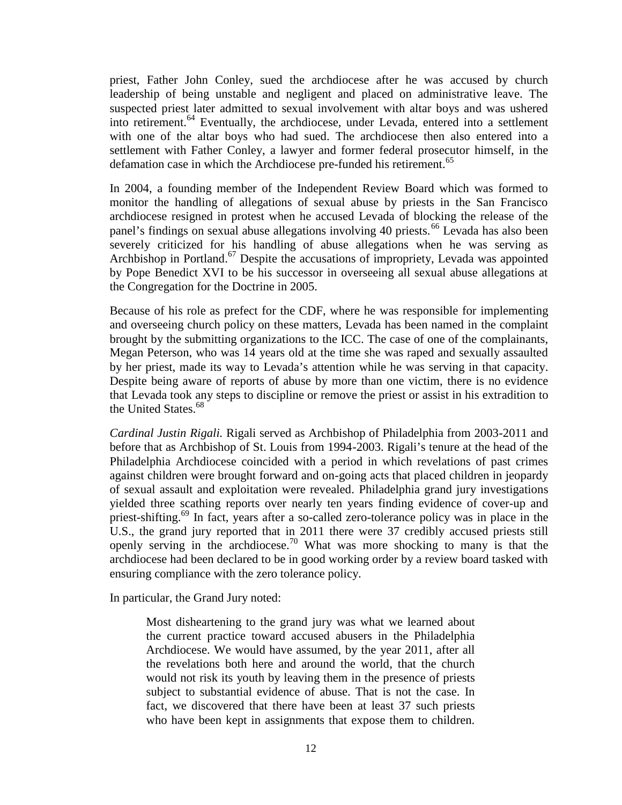priest, Father John Conley, sued the archdiocese after he was accused by church leadership of being unstable and negligent and placed on administrative leave. The suspected priest later admitted to sexual involvement with altar boys and was ushered into retirement.<sup>64</sup> Eventually, the archdiocese, under Levada, entered into a settlement with one of the altar boys who had sued. The archdiocese then also entered into a settlement with Father Conley, a lawyer and former federal prosecutor himself, in the defamation case in which the Archdiocese pre-funded his retirement.<sup>65</sup>

In 2004, a founding member of the Independent Review Board which was formed to monitor the handling of allegations of sexual abuse by priests in the San Francisco archdiocese resigned in protest when he accused Levada of blocking the release of the panel's findings on sexual abuse allegations involving 40 priests.<sup>66</sup> Levada has also been severely criticized for his handling of abuse allegations when he was serving as Archbishop in Portland.<sup>67</sup> Despite the accusations of impropriety, Levada was appointed by Pope Benedict XVI to be his successor in overseeing all sexual abuse allegations at the Congregation for the Doctrine in 2005.

Because of his role as prefect for the CDF, where he was responsible for implementing and overseeing church policy on these matters, Levada has been named in the complaint brought by the submitting organizations to the ICC. The case of one of the complainants, Megan Peterson, who was 14 years old at the time she was raped and sexually assaulted by her priest, made its way to Levada's attention while he was serving in that capacity. Despite being aware of reports of abuse by more than one victim, there is no evidence that Levada took any steps to discipline or remove the priest or assist in his extradition to the United States.<sup>68</sup>

*Cardinal Justin Rigali.* Rigali served as Archbishop of Philadelphia from 2003-2011 and before that as Archbishop of St. Louis from 1994-2003. Rigali's tenure at the head of the Philadelphia Archdiocese coincided with a period in which revelations of past crimes against children were brought forward and on-going acts that placed children in jeopardy of sexual assault and exploitation were revealed. Philadelphia grand jury investigations yielded three scathing reports over nearly ten years finding evidence of cover-up and priest-shifting.<sup>69</sup> In fact, years after a so-called zero-tolerance policy was in place in the U.S., the grand jury reported that in 2011 there were 37 credibly accused priests still openly serving in the archdiocese.<sup>70</sup> What was more shocking to many is that the archdiocese had been declared to be in good working order by a review board tasked with ensuring compliance with the zero tolerance policy.

In particular, the Grand Jury noted:

Most disheartening to the grand jury was what we learned about the current practice toward accused abusers in the Philadelphia Archdiocese. We would have assumed, by the year 2011, after all the revelations both here and around the world, that the church would not risk its youth by leaving them in the presence of priests subject to substantial evidence of abuse. That is not the case. In fact, we discovered that there have been at least 37 such priests who have been kept in assignments that expose them to children.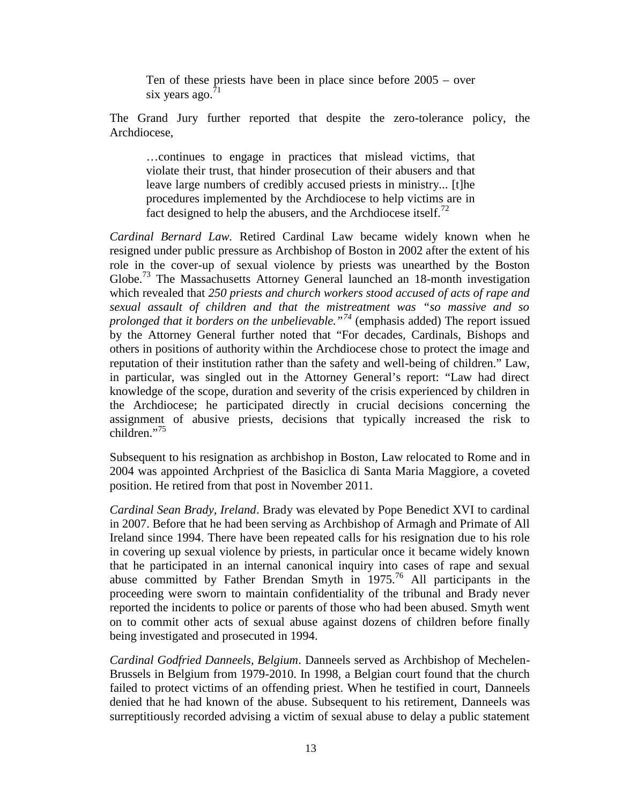Ten of these priests have been in place since before 2005 – over six years ago. $^{71}$ 

The Grand Jury further reported that despite the zero-tolerance policy, the Archdiocese,

…continues to engage in practices that mislead victims, that violate their trust, that hinder prosecution of their abusers and that leave large numbers of credibly accused priests in ministry... [t]he procedures implemented by the Archdiocese to help victims are in fact designed to help the abusers, and the Archdiocese itself.<sup>72</sup>

*Cardinal Bernard Law.* Retired Cardinal Law became widely known when he resigned under public pressure as Archbishop of Boston in 2002 after the extent of his role in the cover-up of sexual violence by priests was unearthed by the Boston Globe.<sup>73</sup> The Massachusetts Attorney General launched an 18-month investigation which revealed that *250 priests and church workers stood accused of acts of rape and sexual assault of children and that the mistreatment was "so massive and so prolonged that it borders on the unbelievable."<sup>74</sup>* (emphasis added) The report issued by the Attorney General further noted that "For decades, Cardinals, Bishops and others in positions of authority within the Archdiocese chose to protect the image and reputation of their institution rather than the safety and well-being of children." Law, in particular, was singled out in the Attorney General's report: "Law had direct knowledge of the scope, duration and severity of the crisis experienced by children in the Archdiocese; he participated directly in crucial decisions concerning the assignment of abusive priests, decisions that typically increased the risk to  $children$ <sup>"75</sup>

Subsequent to his resignation as archbishop in Boston, Law relocated to Rome and in 2004 was appointed Archpriest of the Basiclica di Santa Maria Maggiore, a coveted position. He retired from that post in November 2011.

*Cardinal Sean Brady, Ireland*. Brady was elevated by Pope Benedict XVI to cardinal in 2007. Before that he had been serving as Archbishop of Armagh and Primate of All Ireland since 1994. There have been repeated calls for his resignation due to his role in covering up sexual violence by priests, in particular once it became widely known that he participated in an internal canonical inquiry into cases of rape and sexual abuse committed by Father Brendan Smyth in 1975.<sup>76</sup> All participants in the proceeding were sworn to maintain confidentiality of the tribunal and Brady never reported the incidents to police or parents of those who had been abused. Smyth went on to commit other acts of sexual abuse against dozens of children before finally being investigated and prosecuted in 1994.

*Cardinal Godfried Danneels, Belgium*. Danneels served as Archbishop of Mechelen- Brussels in Belgium from 1979-2010. In 1998, a Belgian court found that the church failed to protect victims of an offending priest. When he testified in court, Danneels denied that he had known of the abuse. Subsequent to his retirement, Danneels was surreptitiously recorded advising a victim of sexual abuse to delay a public statement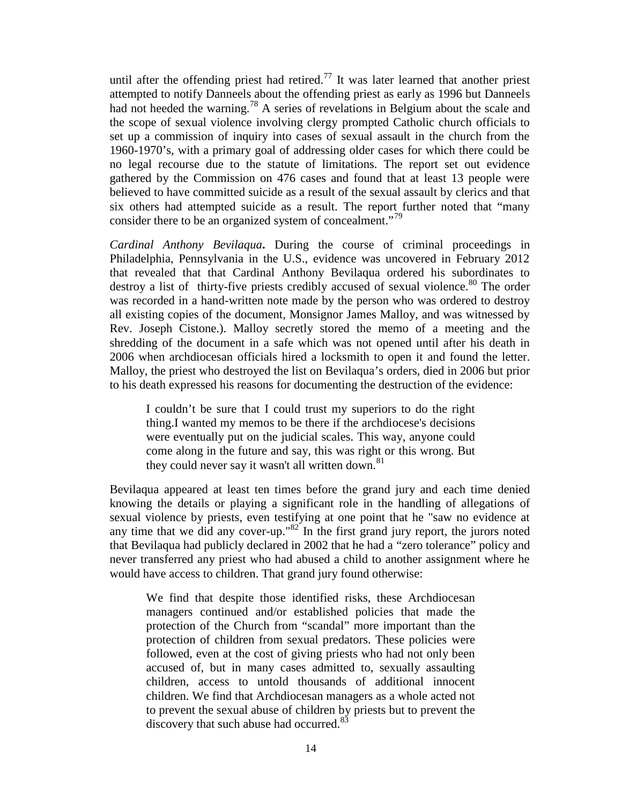until after the offending priest had retired.<sup>77</sup> It was later learned that another priest attempted to notify Danneels about the offending priest as early as 1996 but Danneels had not heeded the warning.<sup>78</sup> A series of revelations in Belgium about the scale and the scope of sexual violence involving clergy prompted Catholic church officials to set up a commission of inquiry into cases of sexual assault in the church from the 1960-1970's, with a primary goal of addressing older cases for which there could be no legal recourse due to the statute of limitations. The report set out evidence gathered by the Commission on 476 cases and found that at least 13 people were believed to have committed suicide as a result of the sexual assault by clerics and that six others had attempted suicide as a result. The report further noted that "many consider there to be an organized system of concealment."<sup>79</sup>

*Cardinal Anthony Bevilaqua***.** During the course of criminal proceedings in Philadelphia, Pennsylvania in the U.S., evidence was uncovered in February 2012 that revealed that that Cardinal Anthony Bevilaqua ordered his subordinates to destroy a list of thirty-five priests credibly accused of sexual violence.<sup>80</sup> The order was recorded in a hand-written note made by the person who was ordered to destroy all existing copies of the document, Monsignor James Malloy, and was witnessed by Rev. Joseph Cistone.). Malloy secretly stored the memo of a meeting and the shredding of the document in a safe which was not opened until after his death in 2006 when archdiocesan officials hired a locksmith to open it and found the letter. Malloy, the priest who destroyed the list on Bevilaqua's orders, died in 2006 but prior to his death expressed his reasons for documenting the destruction of the evidence:

I couldn't be sure that I could trust my superiors to do the right thing.I wanted my memos to be there if the archdiocese's decisions were eventually put on the judicial scales. This way, anyone could come along in the future and say, this was right or this wrong. But they could never say it wasn't all written down.<sup>81</sup>

Bevilaqua appeared at least ten times before the grand jury and each time denied knowing the details or playing a significant role in the handling of allegations of sexual violence by priests, even testifying at one point that he "saw no evidence at any time that we did any cover-up."<sup>82</sup> In the first grand jury report, the jurors noted that Bevilaqua had publicly declared in 2002 that he had a "zero tolerance" policy and never transferred any priest who had abused a child to another assignment where he would have access to children. That grand jury found otherwise:

We find that despite those identified risks, these Archdiocesan managers continued and/or established policies that made the protection of the Church from "scandal" more important than the protection of children from sexual predators. These policies were followed, even at the cost of giving priests who had not only been accused of, but in many cases admitted to, sexually assaulting children, access to untold thousands of additional innocent children. We find that Archdiocesan managers as a whole acted not to prevent the sexual abuse of children by priests but to prevent the discovery that such abuse had occurred.<sup>83</sup>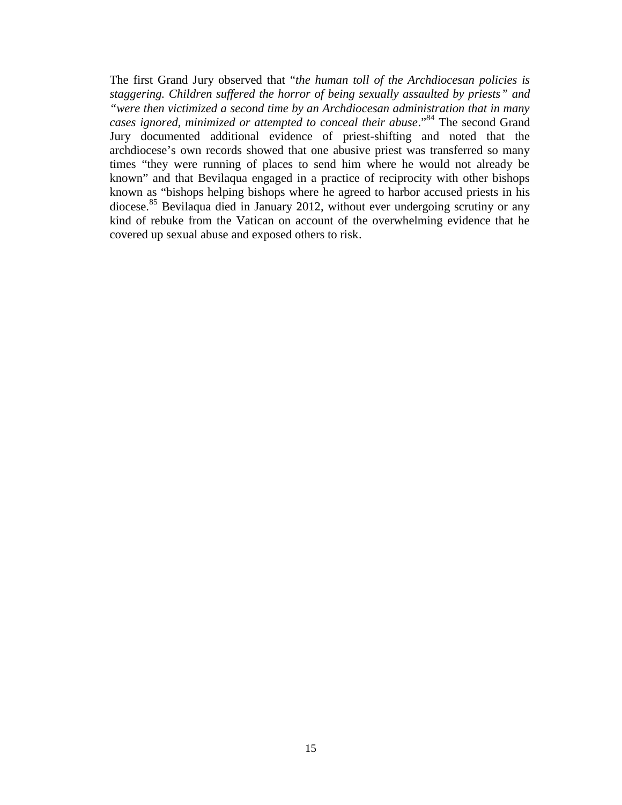The first Grand Jury observed that "*the human toll of the Archdiocesan policies is staggering. Children suffered the horror of being sexually assaulted by priests" and "were then victimized a second time by an Archdiocesan administration that in many cases ignored, minimized or attempted to conceal their abuse*." <sup>84</sup> The second Grand Jury documented additional evidence of priest-shifting and noted that the archdiocese's own records showed that one abusive priest was transferred so many times "they were running of places to send him where he would not already be known" and that Bevilaqua engaged in a practice of reciprocity with other bishops known as "bishops helping bishops where he agreed to harbor accused priests in his diocese.<sup>85</sup> Bevilaqua died in January 2012, without ever undergoing scrutiny or any kind of rebuke from the Vatican on account of the overwhelming evidence that he covered up sexual abuse and exposed others to risk.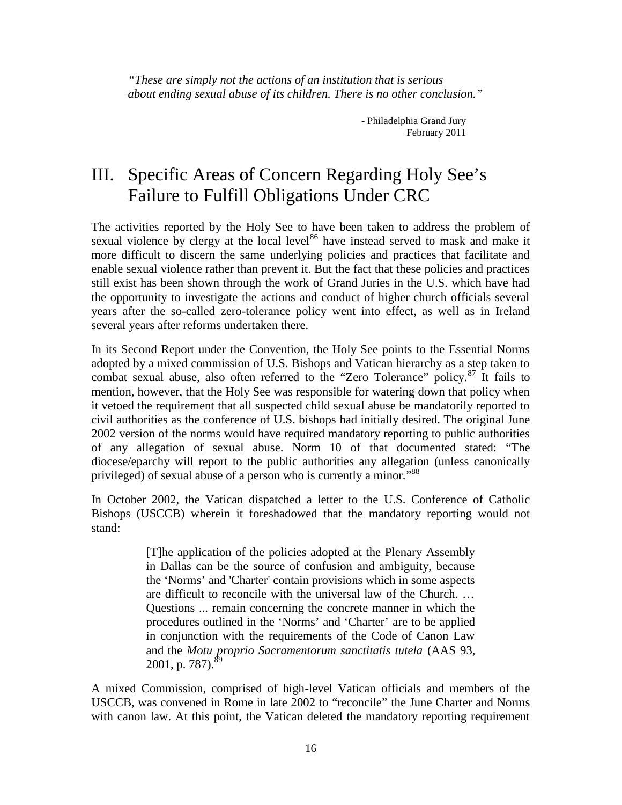*"These are simply not the actions of an institution that is serious about ending sexual abuse of its children. There is no other conclusion."*

> - Philadelphia Grand Jury February 2011

## III. Specific Areas of Concern Regarding Holy See's Failure to Fulfill Obligations Under CRC

The activities reported by the Holy See to have been taken to address the problem of sexual violence by clergy at the local level<sup>86</sup> have instead served to mask and make it more difficult to discern the same underlying policies and practices that facilitate and enable sexual violence rather than prevent it. But the fact that these policies and practices still exist has been shown through the work of Grand Juries in the U.S. which have had the opportunity to investigate the actions and conduct of higher church officials several years after the so-called zero-tolerance policy went into effect, as well as in Ireland several years after reforms undertaken there.

In its Second Report under the Convention, the Holy See points to the Essential Norms adopted by a mixed commission of U.S. Bishops and Vatican hierarchy as a step taken to combat sexual abuse, also often referred to the "Zero Tolerance" policy.  $87$  It fails to mention, however, that the Holy See was responsible for watering down that policy when it vetoed the requirement that all suspected child sexual abuse be mandatorily reported to civil authorities as the conference of U.S. bishops had initially desired. The original June 2002 version of the norms would have required mandatory reporting to public authorities of any allegation of sexual abuse. Norm 10 of that documented stated: "The diocese/eparchy will report to the public authorities any allegation (unless canonically privileged) of sexual abuse of a person who is currently a minor."<sup>88</sup>

In October 2002, the Vatican dispatched a letter to the U.S. Conference of Catholic Bishops (USCCB) wherein it foreshadowed that the mandatory reporting would not stand:

> [T]he application of the policies adopted at the Plenary Assembly in Dallas can be the source of confusion and ambiguity, because the 'Norms' and 'Charter' contain provisions which in some aspects are difficult to reconcile with the universal law of the Church. … Questions ... remain concerning the concrete manner in which the procedures outlined in the 'Norms' and 'Charter' are to be applied in conjunction with the requirements of the Code of Canon Law and the *Motu proprio Sacramentorum sanctitatis tutela* (AAS 93, 2001, p. 787).<sup>89</sup>

A mixed Commission, comprised of high-level Vatican officials and members of the USCCB, was convened in Rome in late 2002 to "reconcile" the June Charter and Norms with canon law. At this point, the Vatican deleted the mandatory reporting requirement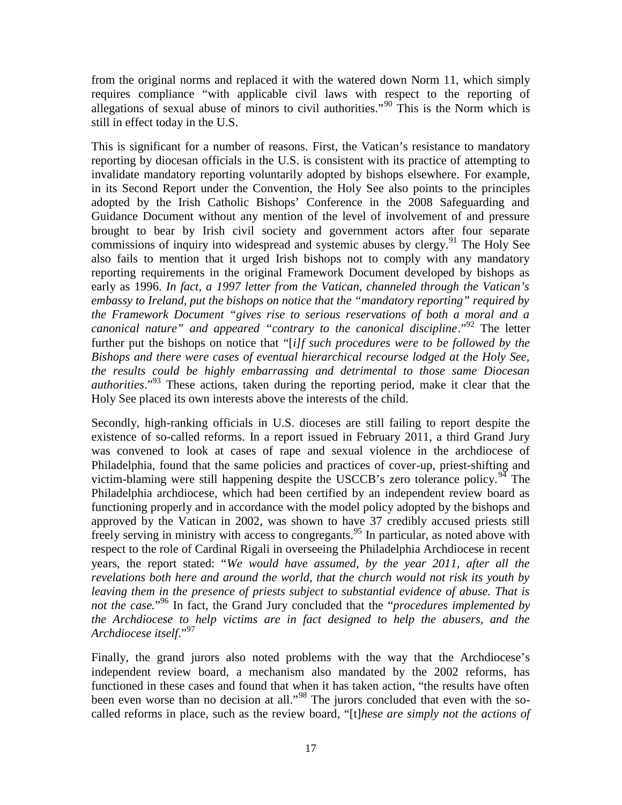from the original norms and replaced it with the watered down Norm 11, which simply requires compliance "with applicable civil laws with respect to the reporting of allegations of sexual abuse of minors to civil authorities."<sup>90</sup> This is the Norm which is still in effect today in the U.S.

This is significant for a number of reasons. First, the Vatican's resistance to mandatory reporting by diocesan officials in the U.S. is consistent with its practice of attempting to invalidate mandatory reporting voluntarily adopted by bishops elsewhere. For example, in its Second Report under the Convention, the Holy See also points to the principles adopted by the Irish Catholic Bishops' Conference in the 2008 Safeguarding and Guidance Document without any mention of the level of involvement of and pressure brought to bear by Irish civil society and government actors after four separate commissions of inquiry into widespread and systemic abuses by clergy.<sup>91</sup> The Holy See also fails to mention that it urged Irish bishops not to comply with any mandatory reporting requirements in the original Framework Document developed by bishops as early as 1996. *In fact, a 1997 letter from the Vatican, channeled through the Vatican's embassy to Ireland, put the bishops on notice that the "mandatory reporting" required by the Framework Document "gives rise to serious reservations of both a moral and a canonical nature" and appeared "contrary to the canonical discipline*." <sup>92</sup> The letter further put the bishops on notice that "[*i]f such procedures were to be followed by the Bishops and there were cases of eventual hierarchical recourse lodged at the Holy See, the results could be highly embarrassing and detrimental to those same Diocesan authorities*."<sup>93</sup> These actions, taken during the reporting period, make it clear that the Holy See placed its own interests above the interests of the child.

Secondly, high-ranking officials in U.S. dioceses are still failing to report despite the existence of so-called reforms. In a report issued in February 2011, a third Grand Jury was convened to look at cases of rape and sexual violence in the archdiocese of Philadelphia, found that the same policies and practices of cover-up, priest-shifting and victim-blaming were still happening despite the USCCB's zero tolerance policy.<sup>94</sup> The Philadelphia archdiocese, which had been certified by an independent review board as functioning properly and in accordance with the model policy adopted by the bishops and approved by the Vatican in 2002, was shown to have 37 credibly accused priests still freely serving in ministry with access to congregants.<sup>95</sup> In particular, as noted above with respect to the role of Cardinal Rigali in overseeing the Philadelphia Archdiocese in recent years, the report stated: "*We would have assumed, by the year 2011, after all the revelations both here and around the world, that the church would not risk its youth by leaving them in the presence of priests subject to substantial evidence of abuse. That is not the case.*" <sup>96</sup> In fact, the Grand Jury concluded that the "*procedures implemented by the Archdiocese to help victims are in fact designed to help the abusers, and the Archdiocese itself*." 97

Finally, the grand jurors also noted problems with the way that the Archdiocese's independent review board, a mechanism also mandated by the 2002 reforms, has functioned in these cases and found that when it has taken action, "the results have often been even worse than no decision at all.<sup>"98</sup> The jurors concluded that even with the socalled reforms in place, such as the review board, "[t]*hese are simply not the actions of*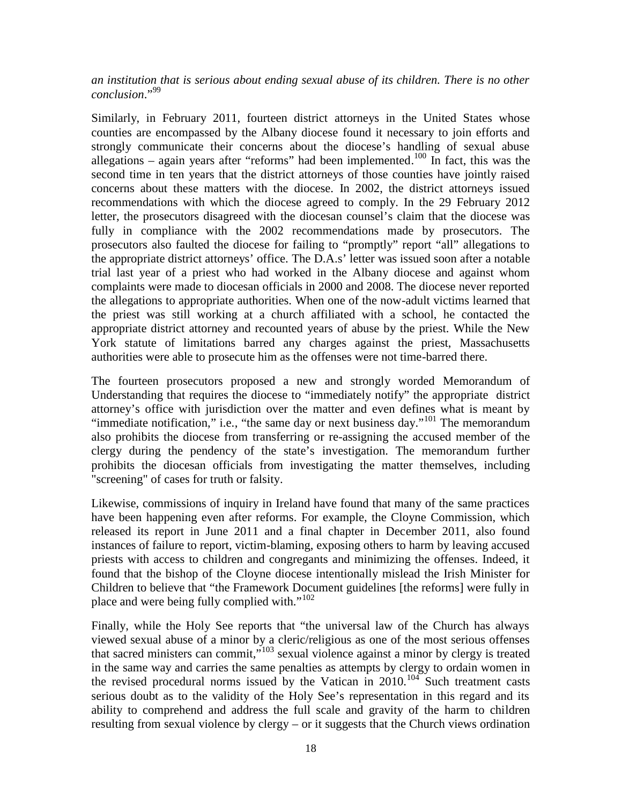*an institution that is serious about ending sexual abuse of its children. There is no other conclusion*." 99

Similarly, in February 2011, fourteen district attorneys in the United States whose counties are encompassed by the Albany diocese found it necessary to join efforts and strongly communicate their concerns about the diocese's handling of sexual abuse allegations – again years after "reforms" had been implemented.<sup>100</sup> In fact, this was the second time in ten years that the district attorneys of those counties have jointly raised concerns about these matters with the diocese. In 2002, the district attorneys issued recommendations with which the diocese agreed to comply. In the 29 February 2012 letter, the prosecutors disagreed with the diocesan counsel's claim that the diocese was fully in compliance with the 2002 recommendations made by prosecutors. The prosecutors also faulted the diocese for failing to "promptly" report "all" allegations to the appropriate district attorneys' office. The D.A.s' letter was issued soon after a notable trial last year of a priest who had worked in the Albany diocese and against whom complaints were made to diocesan officials in 2000 and 2008. The diocese never reported the allegations to appropriate authorities. When one of the now-adult victims learned that the priest was still working at a church affiliated with a school, he contacted the appropriate district attorney and recounted years of abuse by the priest. While the New York statute of limitations barred any charges against the priest, Massachusetts authorities were able to prosecute him as the offenses were not time-barred there.

The fourteen prosecutors proposed a new and strongly worded Memorandum of Understanding that requires the diocese to "immediately notify" the appropriate district attorney's office with jurisdiction over the matter and even defines what is meant by "immediate notification," i.e., "the same day or next business day."<sup>101</sup> The memorandum also prohibits the diocese from transferring or re-assigning the accused member of the clergy during the pendency of the state's investigation. The memorandum further prohibits the diocesan officials from investigating the matter themselves, including "screening" of cases for truth or falsity.

Likewise, commissions of inquiry in Ireland have found that many of the same practices have been happening even after reforms. For example, the Cloyne Commission, which released its report in June 2011 and a final chapter in December 2011, also found instances of failure to report, victim-blaming, exposing others to harm by leaving accused priests with access to children and congregants and minimizing the offenses. Indeed, it found that the bishop of the Cloyne diocese intentionally mislead the Irish Minister for Children to believe that "the Framework Document guidelines [the reforms] were fully in place and were being fully complied with."<sup>102</sup>

Finally, while the Holy See reports that "the universal law of the Church has always viewed sexual abuse of a minor by a cleric/religious as one of the most serious offenses that sacred ministers can commit,"<sup>103</sup> sexual violence against a minor by clergy is treated in the same way and carries the same penalties as attempts by clergy to ordain women in the revised procedural norms issued by the Vatican in  $2010$ .<sup>104</sup> Such treatment casts serious doubt as to the validity of the Holy See's representation in this regard and its ability to comprehend and address the full scale and gravity of the harm to children resulting from sexual violence by clergy – or it suggests that the Church views ordination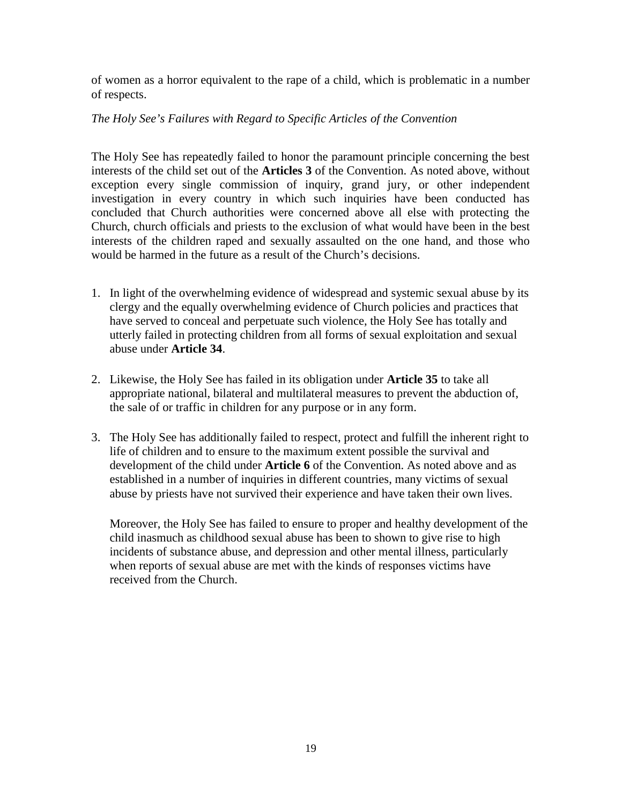of women as a horror equivalent to the rape of a child, which is problematic in a number of respects.

#### *The Holy See's Failures with Regard to Specific Articles of the Convention*

The Holy See has repeatedly failed to honor the paramount principle concerning the best interests of the child set out of the **Articles 3** of the Convention. As noted above, without exception every single commission of inquiry, grand jury, or other independent investigation in every country in which such inquiries have been conducted has concluded that Church authorities were concerned above all else with protecting the Church, church officials and priests to the exclusion of what would have been in the best interests of the children raped and sexually assaulted on the one hand, and those who would be harmed in the future as a result of the Church's decisions.

- 1. In light of the overwhelming evidence of widespread and systemic sexual abuse by its clergy and the equally overwhelming evidence of Church policies and practices that have served to conceal and perpetuate such violence, the Holy See has totally and utterly failed in protecting children from all forms of sexual exploitation and sexual abuse under **Article 34**.
- 2. Likewise, the Holy See has failed in its obligation under **Article 35** to take all appropriate national, bilateral and multilateral measures to prevent the abduction of, the sale of or traffic in children for any purpose or in any form.
- 3. The Holy See has additionally failed to respect, protect and fulfill the inherent right to life of children and to ensure to the maximum extent possible the survival and development of the child under **Article 6** of the Convention. As noted above and as established in a number of inquiries in different countries, many victims of sexual abuse by priests have not survived their experience and have taken their own lives.

Moreover, the Holy See has failed to ensure to proper and healthy development of the child inasmuch as childhood sexual abuse has been to shown to give rise to high incidents of substance abuse, and depression and other mental illness, particularly when reports of sexual abuse are met with the kinds of responses victims have received from the Church.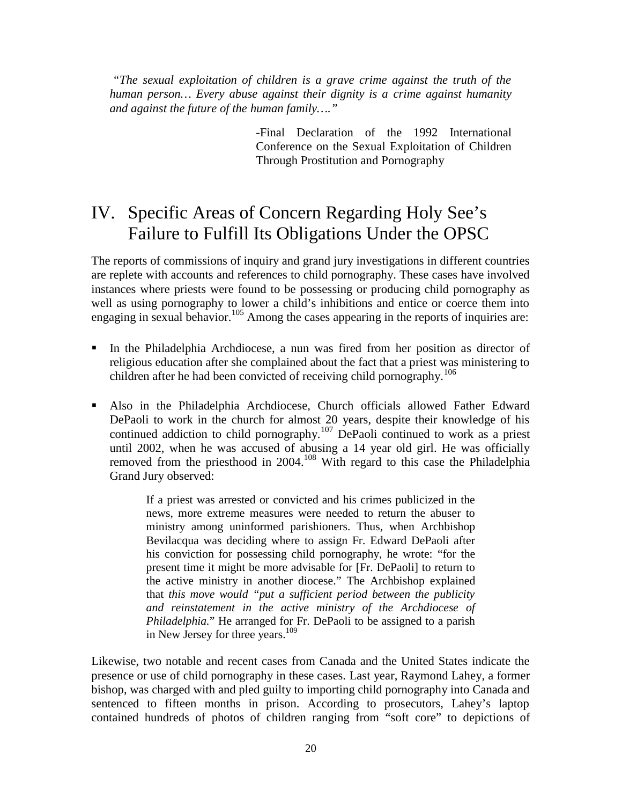*"The sexual exploitation of children is a grave crime against the truth of the human person… Every abuse against their dignity is a crime against humanity and against the future of the human family…."*

> -Final Declaration of the 1992 International Conference on the Sexual Exploitation of Children Through Prostitution and Pornography

## IV. Specific Areas of Concern Regarding Holy See's Failure to Fulfill Its Obligations Under the OPSC

The reports of commissions of inquiry and grand jury investigations in different countries are replete with accounts and references to child pornography. These cases have involved instances where priests were found to be possessing or producing child pornography as well as using pornography to lower a child's inhibitions and entice or coerce them into engaging in sexual behavior.<sup>105</sup> Among the cases appearing in the reports of inquiries are:

- In the Philadelphia Archdiocese, a nun was fired from her position as director of religious education after she complained about the fact that a priest was ministering to children after he had been convicted of receiving child pornography.<sup>106</sup>
- Also in the Philadelphia Archdiocese, Church officials allowed Father Edward DePaoli to work in the church for almost 20 years, despite their knowledge of his continued addiction to child pornography.<sup>107</sup> DePaoli continued to work as a priest until 2002, when he was accused of abusing a 14 year old girl. He was officially removed from the priesthood in 2004.<sup>108</sup> With regard to this case the Philadelphia Grand Jury observed:

If a priest was arrested or convicted and his crimes publicized in the news, more extreme measures were needed to return the abuser to ministry among uninformed parishioners. Thus, when Archbishop Bevilacqua was deciding where to assign Fr. Edward DePaoli after his conviction for possessing child pornography, he wrote: "for the present time it might be more advisable for [Fr. DePaoli] to return to the active ministry in another diocese." The Archbishop explained that *this move would "put a sufficient period between the publicity and reinstatement in the active ministry of the Archdiocese of Philadelphia.*" He arranged for Fr. DePaoli to be assigned to a parish in New Jersey for three years.<sup>109</sup>

Likewise, two notable and recent cases from Canada and the United States indicate the presence or use of child pornography in these cases. Last year, Raymond Lahey, a former bishop, was charged with and pled guilty to importing child pornography into Canada and sentenced to fifteen months in prison. According to prosecutors, Lahey's laptop contained hundreds of photos of children ranging from "soft core" to depictions of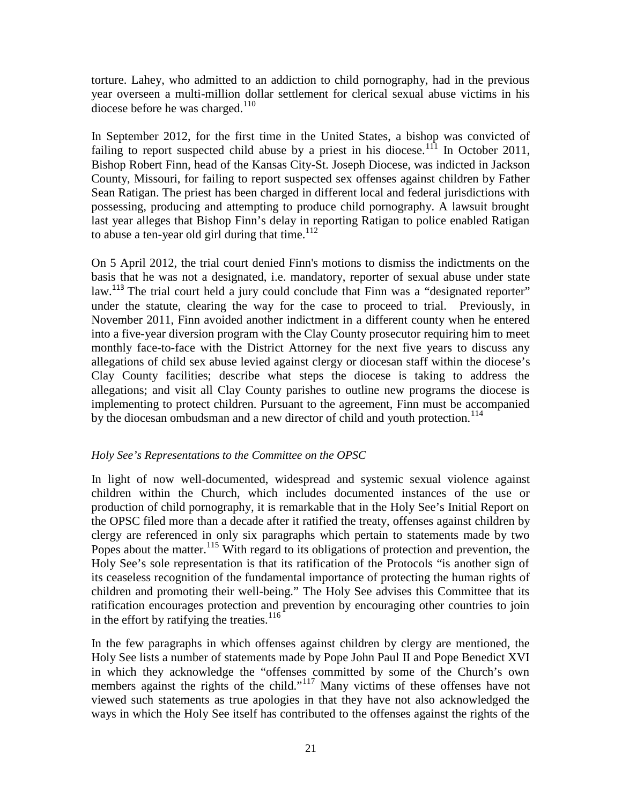torture. Lahey, who admitted to an addiction to child pornography, had in the previous year overseen a multi-million dollar settlement for clerical sexual abuse victims in his diocese before he was charged. $110$ 

In September 2012, for the first time in the United States, a bishop was convicted of failing to report suspected child abuse by a priest in his diocese.<sup>111</sup> In October 2011, Bishop Robert Finn, head of the Kansas City-St. Joseph Diocese, was indicted in Jackson County, Missouri, for failing to report suspected sex offenses against children by Father Sean Ratigan. The priest has been charged in different local and federal jurisdictions with possessing, producing and attempting to produce child pornography. A lawsuit brought last year alleges that Bishop Finn's delay in reporting Ratigan to police enabled Ratigan to abuse a ten-year old girl during that time. $112$ 

On 5 April 2012, the trial court denied Finn's motions to dismiss the indictments on the basis that he was not a designated, i.e. mandatory, reporter of sexual abuse under state law.<sup>113</sup> The trial court held a jury could conclude that Finn was a "designated reporter" under the statute, clearing the way for the case to proceed to trial. Previously, in November 2011, Finn avoided another indictment in a different county when he entered into a five-year diversion program with the Clay County prosecutor requiring him to meet monthly face-to-face with the District Attorney for the next five years to discuss any allegations of child sex abuse levied against clergy or diocesan staff within the diocese's Clay County facilities; describe what steps the diocese is taking to address the allegations; and visit all Clay County parishes to outline new programs the diocese is implementing to protect children. Pursuant to the agreement, Finn must be accompanied by the diocesan ombudsman and a new director of child and youth protection.<sup>114</sup>

#### *Holy See's Representations to the Committee on the OPSC*

In light of now well-documented, widespread and systemic sexual violence against children within the Church, which includes documented instances of the use or production of child pornography, it is remarkable that in the Holy See's Initial Report on the OPSC filed more than a decade after it ratified the treaty, offenses against children by clergy are referenced in only six paragraphs which pertain to statements made by two Popes about the matter.<sup>115</sup> With regard to its obligations of protection and prevention, the Holy See's sole representation is that its ratification of the Protocols "is another sign of its ceaseless recognition of the fundamental importance of protecting the human rights of children and promoting their well-being." The Holy See advises this Committee that its ratification encourages protection and prevention by encouraging other countries to join in the effort by ratifying the treaties. $116$ 

In the few paragraphs in which offenses against children by clergy are mentioned, the Holy See lists a number of statements made by Pope John Paul II and Pope Benedict XVI in which they acknowledge the "offenses committed by some of the Church's own members against the rights of the child."<sup>117</sup> Many victims of these offenses have not viewed such statements as true apologies in that they have not also acknowledged the ways in which the Holy See itself has contributed to the offenses against the rights of the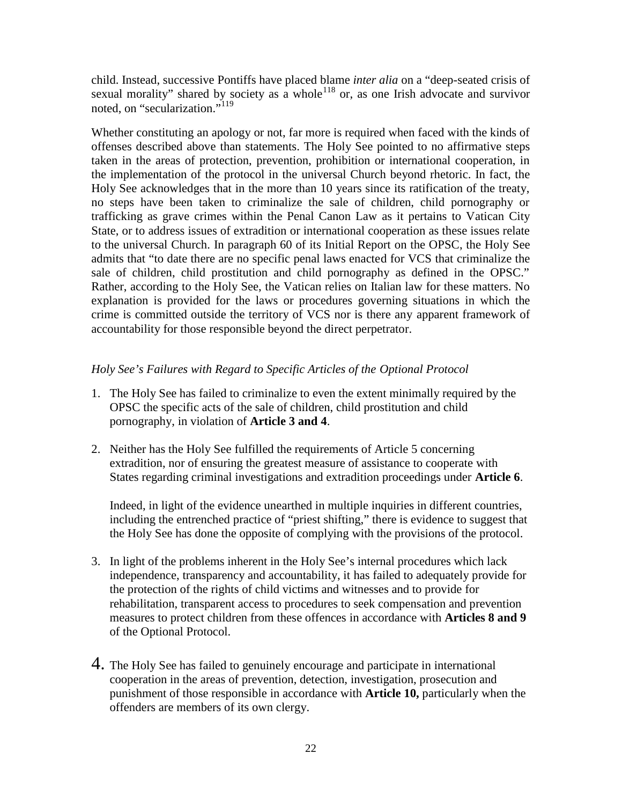child. Instead, successive Pontiffs have placed blame *inter alia* on a "deep-seated crisis of sexual morality" shared by society as a whole<sup>118</sup> or, as one Irish advocate and survivor noted, on "secularization."<sup>119</sup>

Whether constituting an apology or not, far more is required when faced with the kinds of offenses described above than statements. The Holy See pointed to no affirmative steps taken in the areas of protection, prevention, prohibition or international cooperation, in the implementation of the protocol in the universal Church beyond rhetoric. In fact, the Holy See acknowledges that in the more than 10 years since its ratification of the treaty, no steps have been taken to criminalize the sale of children, child pornography or trafficking as grave crimes within the Penal Canon Law as it pertains to Vatican City State, or to address issues of extradition or international cooperation as these issues relate to the universal Church. In paragraph 60 of its Initial Report on the OPSC, the Holy See admits that "to date there are no specific penal laws enacted for VCS that criminalize the sale of children, child prostitution and child pornography as defined in the OPSC." Rather, according to the Holy See, the Vatican relies on Italian law for these matters. No explanation is provided for the laws or procedures governing situations in which the crime is committed outside the territory of VCS nor is there any apparent framework of accountability for those responsible beyond the direct perpetrator.

#### *Holy See's Failures with Regard to Specific Articles of the Optional Protocol*

- 1. The Holy See has failed to criminalize to even the extent minimally required by the OPSC the specific acts of the sale of children, child prostitution and child pornography, in violation of **Article 3 and 4**.
- 2. Neither has the Holy See fulfilled the requirements of Article 5 concerning extradition, nor of ensuring the greatest measure of assistance to cooperate with States regarding criminal investigations and extradition proceedings under **Article 6**.

Indeed, in light of the evidence unearthed in multiple inquiries in different countries, including the entrenched practice of "priest shifting," there is evidence to suggest that the Holy See has done the opposite of complying with the provisions of the protocol.

- 3. In light of the problems inherent in the Holy See's internal procedures which lack independence, transparency and accountability, it has failed to adequately provide for the protection of the rights of child victims and witnesses and to provide for rehabilitation, transparent access to procedures to seek compensation and prevention measures to protect children from these offences in accordance with **Articles 8 and 9** of the Optional Protocol.
- 4. The Holy See has failed to genuinely encourage and participate in international cooperation in the areas of prevention, detection, investigation, prosecution and punishment of those responsible in accordance with **Article 10,** particularly when the offenders are members of its own clergy.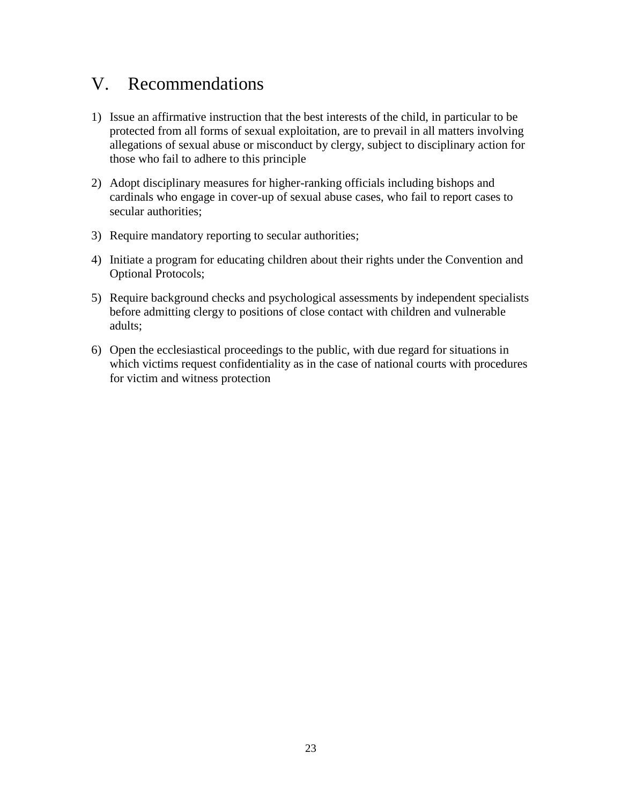## V. Recommendations

- 1) Issue an affirmative instruction that the best interests of the child, in particular to be protected from all forms of sexual exploitation, are to prevail in all matters involving allegations of sexual abuse or misconduct by clergy, subject to disciplinary action for those who fail to adhere to this principle
- 2) Adopt disciplinary measures for higher-ranking officials including bishops and cardinals who engage in cover-up of sexual abuse cases, who fail to report cases to secular authorities;
- 3) Require mandatory reporting to secular authorities;
- 4) Initiate a program for educating children about their rights under the Convention and Optional Protocols;
- 5) Require background checks and psychological assessments by independent specialists before admitting clergy to positions of close contact with children and vulnerable adults;
- 6) Open the ecclesiastical proceedings to the public, with due regard for situations in which victims request confidentiality as in the case of national courts with procedures for victim and witness protection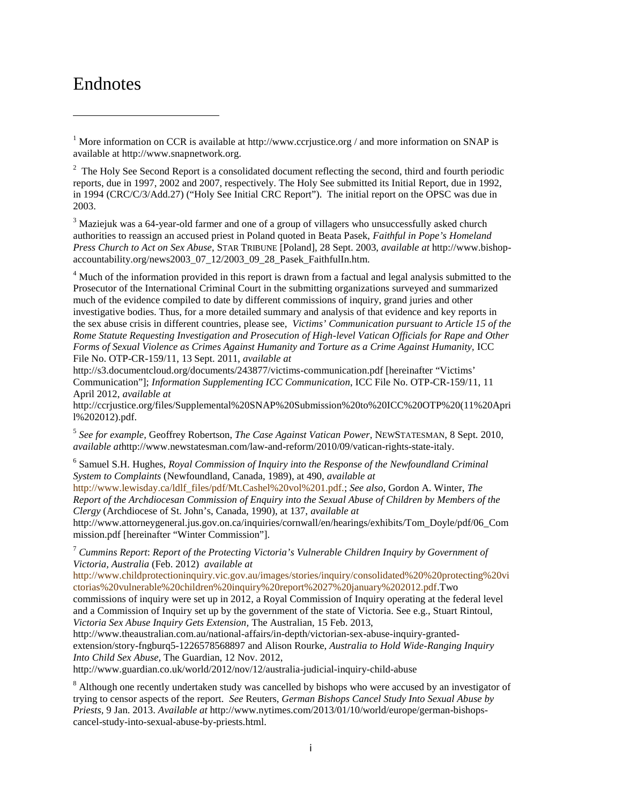## Endnotes

<sup>2</sup> The Holy See Second Report is a consolidated document reflecting the second, third and fourth periodic reports, due in 1997, 2002 and 2007, respectively. The Holy See submitted its Initial Report, due in 1992, in 1994 (CRC/C/3/Add.27) ("Holy See Initial CRC Report"). The initial report on the OPSC was due in 2003.

<sup>3</sup> Maziejuk was a 64-year-old farmer and one of a group of villagers who unsuccessfully asked church authorities to reassign an accused priest in Poland quoted in Beata Pasek, *Faithful in Pope's Homeland Press Church to Act on Sex Abuse*, STAR TRIBUNE [Poland], 28 Sept. 2003, *available at* http://www.bishop accountability.org/news2003\_07\_12/2003\_09\_28\_Pasek\_FaithfulIn.htm.

<sup>4</sup> Much of the information provided in this report is drawn from a factual and legal analysis submitted to the Prosecutor of the International Criminal Court in the submitting organizations surveyed and summarized much of the evidence compiled to date by different commissions of inquiry, grand juries and other investigative bodies. Thus, for a more detailed summary and analysis of that evidence and key reports in the sex abuse crisis in different countries, please see, *Victims' Communication pursuant to Article 15 of the Rome Statute Requesting Investigation and Prosecution of High-level Vatican Officials for Rape and Other Forms of Sexual Violence as Crimes Against Humanity and Torture as a Crime Against Humanity,* ICC File No. OTP-CR-159/11, 13 Sept. 2011, *available at*

http://s3.documentcloud.org/documents/243877/victims-communication.pdf [hereinafter "Victims' Communication"]; *Information Supplementing ICC Communication*, ICC File No. OTP-CR-159/11, 11 April 2012, *available at*

http://ccrjustice.org/files/Supplemental%20SNAP%20Submission%20to%20ICC%20OTP%20(11%20Apri l%202012).pdf.

<sup>5</sup> *See for example,* Geoffrey Robertson, *The Case Against Vatican Power*, NEWSTATESMAN, 8 Sept. 2010, *available at*http://www.newstatesman.com/law-and-reform/2010/09/vatican-rights-state-italy.

<sup>6</sup> Samuel S.H. Hughes, *Royal Commission of Inquiry into the Response of the Newfoundland Criminal System to Complaints* (Newfoundland, Canada, 1989), at 490, *available at*

http://www.lewisday.ca/ldlf\_files/pdf/Mt.Cashel%20vol%201.pdf.; *See also,* Gordon A. Winter, *The Report of the Archdiocesan Commission of Enquiry into the Sexual Abuse of Children by Members of the Clergy* (Archdiocese of St. John's, Canada, 1990), at 137, *available at*

http://www.attorneygeneral.jus.gov.on.ca/inquiries/cornwall/en/hearings/exhibits/Tom\_Doyle/pdf/06\_Com mission.pdf [hereinafter "Winter Commission"].

<sup>7</sup> *Cummins Report*: *Report of the Protecting Victoria's Vulnerable Children Inquiry by Government of Victoria, Australia* (Feb. 2012) *available at*

http://www.childprotectioninquiry.vic.gov.au/images/stories/inquiry/consolidated%20%20protecting%20vi ctorias%20vulnerable%20children%20inquiry%20report%2027%20january%202012.pdf.Two commissions of inquiry were set up in 2012, a Royal Commission of Inquiry operating at the federal level and a Commission of Inquiry set up by the government of the state of Victoria. See e.g., Stuart Rintoul,

*Victoria Sex Abuse Inquiry Gets Extension,* The Australian, 15 Feb. 2013,

http://www.theaustralian.com.au/national-affairs/in-depth/victorian-sex-abuse-inquiry-granted extension/story-fngburq5-1226578568897 and Alison Rourke, *Australia to Hold Wide-Ranging Inquiry Into Child Sex Abuse,* The Guardian, 12 Nov. 2012,

http://www.guardian.co.uk/world/2012/nov/12/australia-judicial-inquiry-child-abuse

<sup>8</sup> Although one recently undertaken study was cancelled by bishops who were accused by an investigator of trying to censor aspects of the report. *See* Reuters, *German Bishops Cancel Study Into Sexual Abuse by Priests,* 9 Jan. 2013. *Available at* http://www.nytimes.com/2013/01/10/world/europe/german-bishops cancel-study-into-sexual-abuse-by-priests.html.

<sup>&</sup>lt;sup>1</sup> More information on CCR is available at http://www.ccrjustice.org / and more information on SNAP is available at http://www.snapnetwork.org.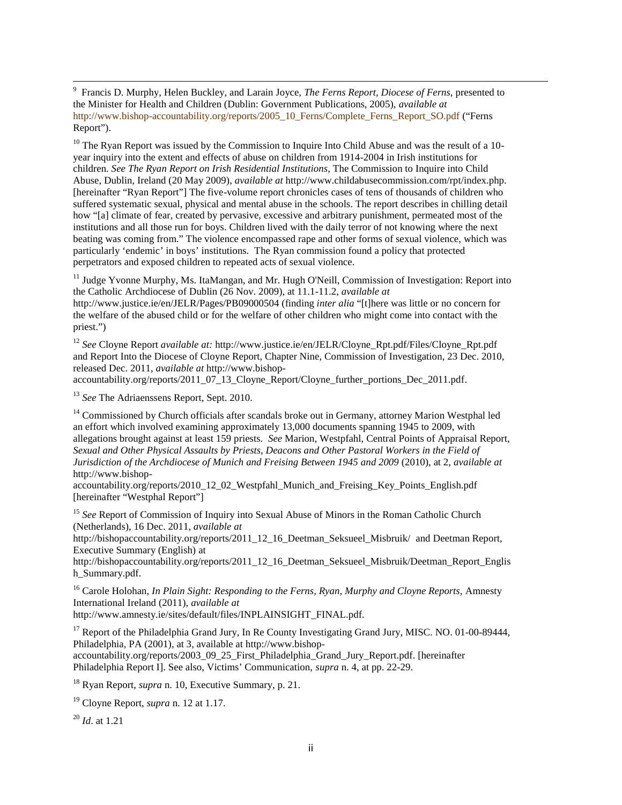<sup>9</sup> Francis D. Murphy, Helen Buckley, and Larain Joyce, *The Ferns Report, Diocese of Ferns*, presented to the Minister for Health and Children (Dublin: Government Publications, 2005), *available at* http://www.bishop-accountability.org/reports/2005\_10\_Ferns/Complete\_Ferns\_Report\_SO.pdf ("Ferns Report").

 $10$  The Ryan Report was issued by the Commission to Inquire Into Child Abuse and was the result of a 10year inquiry into the extent and effects of abuse on children from 1914-2004 in Irish institutions for children. *See The Ryan Report on Irish Residential Institutions*, The Commission to Inquire into Child Abuse, Dublin, Ireland (20 May 2009), *available at* http://www.childabusecommission.com/rpt/index.php. [hereinafter "Ryan Report"] The five-volume report chronicles cases of tens of thousands of children who suffered systematic sexual, physical and mental abuse in the schools. The report describes in chilling detail how "[a] climate of fear, created by pervasive, excessive and arbitrary punishment, permeated most of the institutions and all those run for boys. Children lived with the daily terror of not knowing where the next beating was coming from." The violence encompassed rape and other forms of sexual violence, which was particularly 'endemic' in boys' institutions. The Ryan commission found a policy that protected perpetrators and exposed children to repeated acts of sexual violence.

<sup>11</sup> Judge Yvonne Murphy, Ms. ItaMangan, and Mr. Hugh O'Neill, Commission of Investigation: Report into the Catholic Archdiocese of Dublin (26 Nov. 2009), at 11.1-11.2, *available at*

http://www.justice.ie/en/JELR/Pages/PB09000504 (finding *inter alia* "[t]here was little or no concern for the welfare of the abused child or for the welfare of other children who might come into contact with the priest.")

<sup>12</sup> *See* Cloyne Report *available at:* http://www.justice.ie/en/JELR/Cloyne\_Rpt.pdf/Files/Cloyne\_Rpt.pdf and Report Into the Diocese of Cloyne Report, Chapter Nine, Commission of Investigation, 23 Dec. 2010, released Dec. 2011, *available at* http://www.bishop-

accountability.org/reports/2011\_07\_13\_Cloyne\_Report/Cloyne\_further\_portions\_Dec\_2011.pdf.

<sup>13</sup> *See* The Adriaenssens Report, Sept. 2010.

<sup>14</sup> Commissioned by Church officials after scandals broke out in Germany, attorney Marion Westphal led an effort which involved examining approximately 13,000 documents spanning 1945 to 2009, with allegations brought against at least 159 priests. *See* Marion, Westpfahl, Central Points of Appraisal Report, *Sexual and Other Physical Assaults by Priests, Deacons and Other Pastoral Workers in the Field of Jurisdiction of the Archdiocese of Munich and Freising Between 1945 and 2009* (2010), at 2, *available at* http://www.bishop-

accountability.org/reports/2010\_12\_02\_Westpfahl\_Munich\_and\_Freising\_Key\_Points\_English.pdf [hereinafter "Westphal Report"]

<sup>15</sup> See Report of Commission of Inquiry into Sexual Abuse of Minors in the Roman Catholic Church (Netherlands), 16 Dec. 2011, *available at*

http://bishopaccountability.org/reports/2011\_12\_16\_Deetman\_Seksueel\_Misbruik/ and Deetman Report, Executive Summary (English) at

http://bishopaccountability.org/reports/2011\_12\_16\_Deetman\_Seksueel\_Misbruik/Deetman\_Report\_Englis h\_Summary.pdf.

<sup>16</sup> Carole Holohan, *In Plain Sight: Responding to the Ferns, Ryan, Murphy and Cloyne Reports,* Amnesty International Ireland (2011), *available at*

http://www.amnesty.ie/sites/default/files/INPLAINSIGHT\_FINAL.pdf.

<sup>17</sup> Report of the Philadelphia Grand Jury, In Re County Investigating Grand Jury, MISC. NO. 01-00-89444, Philadelphia, PA (2001), at 3, available at http://www.bishop accountability.org/reports/2003\_09\_25\_First\_Philadelphia\_Grand\_Jury\_Report.pdf. [hereinafter Philadelphia Report I]. See also, Victims' Communication, *supra* n. 4, at pp. 22-29.

<sup>18</sup> Ryan Report, *supra* n. 10, Executive Summary, p. 21.

<sup>19</sup> Cloyne Report, *supra* n. 12 at 1.17.

<sup>20</sup> *Id*. at 1.21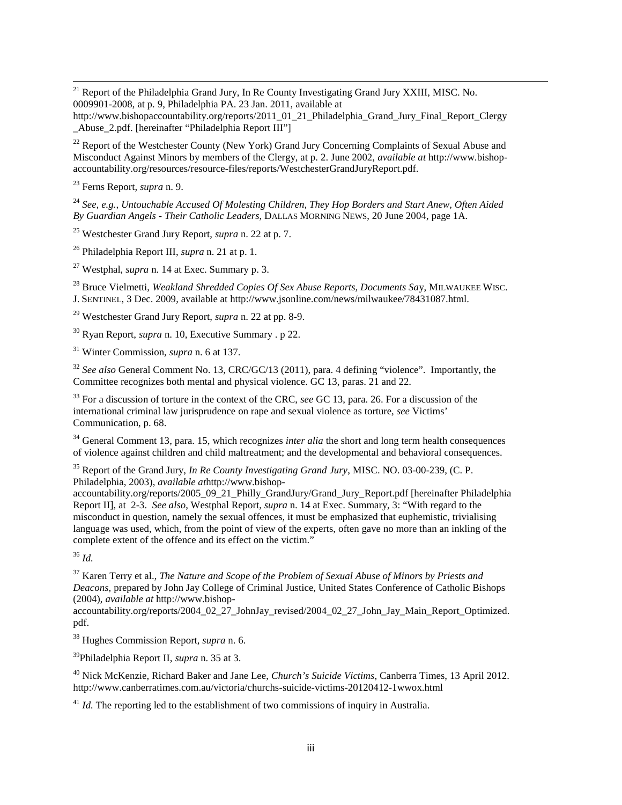<sup>21</sup> Report of the Philadelphia Grand Jury, In Re County Investigating Grand Jury XXIII, MISC. No. 0009901-2008, at p. 9, Philadelphia PA. 23 Jan. 2011, available at

<sup>22</sup> Report of the Westchester County (New York) Grand Jury Concerning Complaints of Sexual Abuse and Misconduct Against Minors by members of the Clergy, at p. 2. June 2002, *available at* http://www.bishop accountability.org/resources/resource-files/reports/WestchesterGrandJuryReport.pdf.

<sup>23</sup> Ferns Report, *supra* n. 9.

<sup>24</sup> *See, e.g., Untouchable Accused Of Molesting Children, They Hop Borders and Start Anew, Often Aided By Guardian Angels - Their Catholic Leaders*, DALLAS MORNING NEWS, 20 June 2004, page 1A.

<sup>25</sup> Westchester Grand Jury Report, *supra* n. 22 at p. 7.

<sup>26</sup> Philadelphia Report III, *supra* n. 21 at p. 1.

<sup>27</sup> Westphal, *supra* n. 14 at Exec. Summary p. 3.

<sup>28</sup> Bruce Vielmetti, *Weakland Shredded Copies Of Sex Abuse Reports, Documents Sa*y, MILWAUKEE WISC. J. SENTINEL, 3 Dec. 2009, available at http://www.jsonline.com/news/milwaukee/78431087.html.

<sup>29</sup> Westchester Grand Jury Report, *supra* n. 22 at pp. 8-9.

<sup>30</sup> Ryan Report, *supra* n. 10, Executive Summary . p 22.

<sup>31</sup> Winter Commission, *supra* n. 6 at 137.

<sup>32</sup> *See also* General Comment No. 13, CRC/GC/13 (2011), para. 4 defining "violence". Importantly, the Committee recognizes both mental and physical violence. GC 13, paras. 21 and 22.

<sup>33</sup> For a discussion of torture in the context of the CRC, *see* GC 13, para. 26. For a discussion of the international criminal law jurisprudence on rape and sexual violence as torture, *see* Victims' Communication, p. 68.

<sup>34</sup> General Comment 13, para. 15, which recognizes *inter alia* the short and long term health consequences of violence against children and child maltreatment; and the developmental and behavioral consequences.

<sup>35</sup> Report of the Grand Jury, *In Re County Investigating Grand Jury*, MISC. NO. 03-00-239, (C. P. Philadelphia, 2003), *available at*http://www.bishop-

accountability.org/reports/2005\_09\_21\_Philly\_GrandJury/Grand\_Jury\_Report.pdf [hereinafter Philadelphia] Report II], at 2-3. *See also*, Westphal Report, *supra* n. 14 at Exec. Summary, 3: "With regard to the misconduct in question, namely the sexual offences, it must be emphasized that euphemistic, trivialising language was used, which, from the point of view of the experts, often gave no more than an inkling of the complete extent of the offence and its effect on the victim."

<sup>36</sup> *Id.*

<sup>37</sup> Karen Terry et al., *The Nature and Scope of the Problem of Sexual Abuse of Minors by Priests and Deacons,* prepared by John Jay College of Criminal Justice, United States Conference of Catholic Bishops (2004), *available at* http://www.bishop-

accountability.org/reports/2004\_02\_27\_JohnJay\_revised/2004\_02\_27\_John\_Jay\_Main\_Report\_Optimized. pdf.

<sup>38</sup> Hughes Commission Report, *supra* n. 6.

<sup>39</sup>Philadelphia Report II, *supra* n. 35 at 3.

<sup>40</sup> Nick McKenzie, Richard Baker and Jane Lee, *Church's Suicide Victims*, Canberra Times, 13 April 2012. http://www.canberratimes.com.au/victoria/churchs-suicide-victims-20120412-1wwox.html

<sup>41</sup> *Id.* The reporting led to the establishment of two commissions of inquiry in Australia.

http://www.bishopaccountability.org/reports/2011\_01\_21\_Philadelphia\_Grand\_Jury\_Final\_Report\_Clergy \_Abuse\_2.pdf. [hereinafter "Philadelphia Report III"]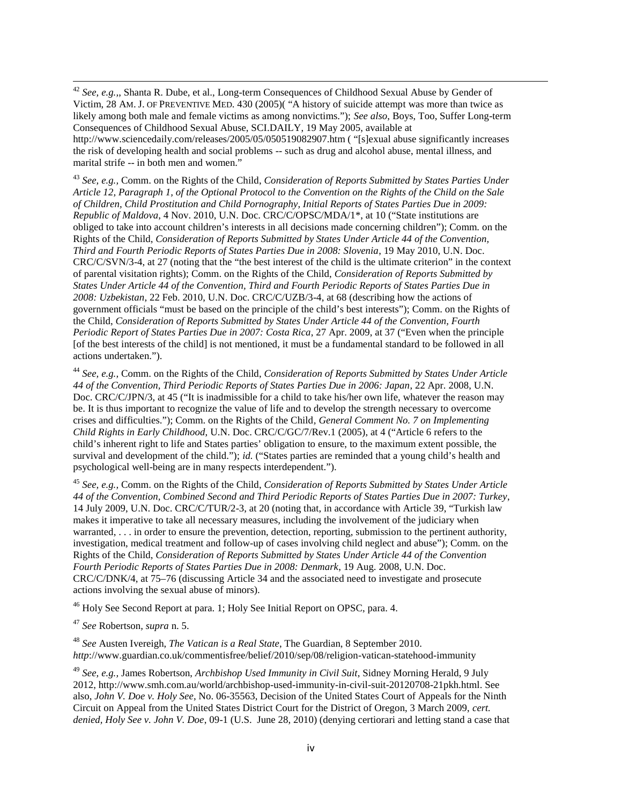<sup>42</sup> *See, e.g.,*, Shanta R. Dube, et al., Long-term Consequences of Childhood Sexual Abuse by Gender of Victim, 28 AM. J. OF PREVENTIVE MED. 430 (2005)( "A history of suicide attempt was more than twice as likely among both male and female victims as among nonvictims."); *See also*, Boys, Too, Suffer Long-term Consequences of Childhood Sexual Abuse, SCI.DAILY, 19 May 2005, available at http://www.sciencedaily.com/releases/2005/05/050519082907.htm ( "[s]exual abuse significantly increases the risk of developing health and social problems -- such as drug and alcohol abuse, mental illness, and marital strife -- in both men and women."

<sup>43</sup> *See, e.g.,* Comm. on the Rights of the Child, *Consideration of Reports Submitted by States Parties Under Article 12, Paragraph 1, of the Optional Protocol to the Convention on the Rights of the Child on the Sale of Children, Child Prostitution and Child Pornography, Initial Reports of States Parties Due in 2009: Republic of Maldova*, 4 Nov. 2010, U.N. Doc. CRC/C/OPSC/MDA/1\*, at 10 ("State institutions are obliged to take into account children's interests in all decisions made concerning children"); Comm. on the Rights of the Child, *Consideration of Reports Submitted by States Under Article 44 of the Convention, Third and Fourth Periodic Reports of States Parties Due in 2008: Slovenia*, 19 May 2010, U.N. Doc. CRC/C/SVN/3-4, at 27 (noting that the "the best interest of the child is the ultimate criterion" in the context of parental visitation rights); Comm. on the Rights of the Child, *Consideration of Reports Submitted by States Under Article 44 of the Convention, Third and Fourth Periodic Reports of States Parties Due in 2008: Uzbekistan*, 22 Feb. 2010, U.N. Doc. CRC/C/UZB/3-4, at 68 (describing how the actions of government officials "must be based on the principle of the child's best interests"); Comm. on the Rights of the Child, *Consideration of Reports Submitted by States Under Article 44 of the Convention, Fourth Periodic Report of States Parties Due in 2007: Costa Rica*, 27 Apr. 2009, at 37 ("Even when the principle [of the best interests of the child] is not mentioned, it must be a fundamental standard to be followed in all actions undertaken.").

<sup>44</sup> *See, e.g.,* Comm. on the Rights of the Child, *Consideration of Reports Submitted by States Under Article 44 of the Convention, Third Periodic Reports of States Parties Due in 2006: Japan*, 22 Apr. 2008, U.N. Doc. CRC/C/JPN/3, at 45 ("It is inadmissible for a child to take his/her own life, whatever the reason may be. It is thus important to recognize the value of life and to develop the strength necessary to overcome crises and difficulties."); Comm. on the Rights of the Child*, General Comment No. 7 on Implementing Child Rights in Early Childhood*, U.N. Doc. CRC/C/GC/7/Rev.1 (2005), at 4 ("Article 6 refers to the child's inherent right to life and States parties' obligation to ensure, to the maximum extent possible, the survival and development of the child."); *id.* ("States parties are reminded that a young child's health and psychological well-being are in many respects interdependent.").

<sup>45</sup> *See, e.g.,* Comm. on the Rights of the Child, *Consideration of Reports Submitted by States Under Article 44 of the Convention, Combined Second and Third Periodic Reports of States Parties Due in 2007: Turkey*, 14 July 2009, U.N. Doc. CRC/C/TUR/2-3, at 20 (noting that, in accordance with Article 39, "Turkish law makes it imperative to take all necessary measures, including the involvement of the judiciary when warranted, . . . in order to ensure the prevention, detection, reporting, submission to the pertinent authority, investigation, medical treatment and follow-up of cases involving child neglect and abuse"); Comm. on the Rights of the Child, *Consideration of Reports Submitted by States Under Article 44 of the Convention Fourth Periodic Reports of States Parties Due in 2008: Denmark*, 19 Aug. 2008, U.N. Doc. CRC/C/DNK/4, at 75–76 (discussing Article 34 and the associated need to investigate and prosecute actions involving the sexual abuse of minors).

<sup>46</sup> Holy See Second Report at para. 1; Holy See Initial Report on OPSC, para. 4.

<sup>47</sup> *See* Robertson*, supra* n. 5.

<sup>48</sup> *See* Austen Ivereigh, *The Vatican is a Real State*, The Guardian, 8 September 2010. *http*://www.guardian.co.uk/commentisfree/belief/2010/sep/08/religion-vatican-statehood-immunity

<sup>49</sup> *See, e.g.,* James Robertson, *Archbishop Used Immunity in Civil Suit*, Sidney Morning Herald, 9 July 2012, http://www.smh.com.au/world/archbishop-used-immunity-in-civil-suit-20120708-21pkh.html. See also, *John V. Doe v. Holy See*, No. 06-35563, Decision of the United States Court of Appeals for the Ninth Circuit on Appeal from the United States District Court for the District of Oregon, 3 March 2009, *cert. denied, Holy See v. John V. Doe*, 09-1 (U.S. June 28, 2010) (denying certiorari and letting stand a case that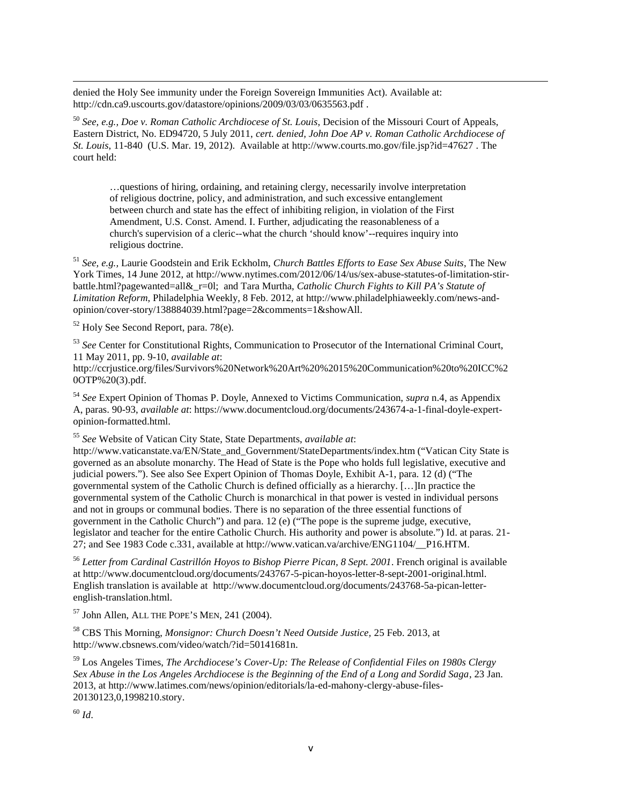denied the Holy See immunity under the Foreign Sovereign Immunities Act). Available at: http://cdn.ca9.uscourts.gov/datastore/opinions/2009/03/03/0635563.pdf .

<sup>50</sup> *See, e.g., Doe v. Roman Catholic Archdiocese of St. Louis*, Decision of the Missouri Court of Appeals, Eastern District, No. ED94720, 5 July 2011, *cert. denied, John Doe AP v. Roman Catholic Archdiocese of St. Louis*, 11-840 (U.S. Mar. 19, 2012). Available at http://www.courts.mo.gov/file.jsp?id=47627 . The court held:

…questions of hiring, ordaining, and retaining clergy, necessarily involve interpretation of religious doctrine, policy, and administration, and such excessive entanglement between church and state has the effect of inhibiting religion, in violation of the First Amendment, U.S. Const. Amend. I. Further, adjudicating the reasonableness of a church's supervision of a cleric--what the church 'should know'--requires inquiry into religious doctrine.

<sup>51</sup> *See, e.g.,* Laurie Goodstein and Erik Eckholm, *Church Battles Efforts to Ease Sex Abuse Suits*, The New York Times, 14 June 2012, at http://www.nytimes.com/2012/06/14/us/sex-abuse-statutes-of-limitation-stirbattle.html?pagewanted=all&\_r=0l; and Tara Murtha, *Catholic Church Fights to Kill PA's Statute of Limitation Reform*, Philadelphia Weekly, 8 Feb. 2012, at http://www.philadelphiaweekly.com/news-and opinion/cover-story/138884039.html?page=2&comments=1&showAll.

<sup>52</sup> Holy See Second Report, para. 78(e).

<sup>53</sup> *See* Center for Constitutional Rights, Communication to Prosecutor of the International Criminal Court, 11 May 2011, pp. 9-10, *available at*:

http://ccrjustice.org/files/Survivors%20Network%20Art%20%2015%20Communication%20to%20ICC%2 0OTP%20(3).pdf.

<sup>54</sup> *See* Expert Opinion of Thomas P. Doyle, Annexed to Victims Communication, *supra* n.4, as Appendix A, paras. 90-93, *available at*: https://www.documentcloud.org/documents/243674-a-1-final-doyle-expert opinion-formatted.html.

<sup>55</sup> *See* Website of Vatican City State, State Departments, *available at*:

http://www.vaticanstate.va/EN/State\_and\_Government/StateDepartments/index.htm ("Vatican City State is governed as an absolute monarchy. The Head of State is the Pope who holds full legislative, executive and judicial powers."). See also See Expert Opinion of Thomas Doyle, Exhibit A-1, para. 12 (d) ("The governmental system of the Catholic Church is defined officially as a hierarchy. […]In practice the governmental system of the Catholic Church is monarchical in that power is vested in individual persons and not in groups or communal bodies. There is no separation of the three essential functions of government in the Catholic Church") and para. 12 (e) ("The pope is the supreme judge, executive, legislator and teacher for the entire Catholic Church. His authority and power is absolute.") Id. at paras. 21- 27; and See 1983 Code c.331, available at http://www.vatican.va/archive/ENG1104/\_\_P16.HTM.

<sup>56</sup> *Letter from Cardinal Castrillón Hoyos to Bishop Pierre Pican, 8 Sept. 2001*. French original is available at http://www.documentcloud.org/documents/243767-5-pican-hoyos-letter-8-sept-2001-original.html. English translation is available at http://www.documentcloud.org/documents/243768-5a-pican-letter english-translation.html.

<sup>57</sup> John Allen, ALL THE POPE'<sup>S</sup> MEN, 241 (2004).

<sup>58</sup> CBS This Morning, *Monsignor: Church Doesn't Need Outside Justice,* 25 Feb. 2013, at http://www.cbsnews.com/video/watch/?id=50141681n.

<sup>59</sup> Los Angeles Times, *The Archdiocese's Cover-Up: The Release of Confidential Files on 1980s Clergy Sex Abuse in the Los Angeles Archdiocese is the Beginning of the End of a Long and Sordid Saga*, 23 Jan. 2013, at http://www.latimes.com/news/opinion/editorials/la-ed-mahony-clergy-abuse-files- 20130123,0,1998210.story.

<sup>60</sup> *Id*.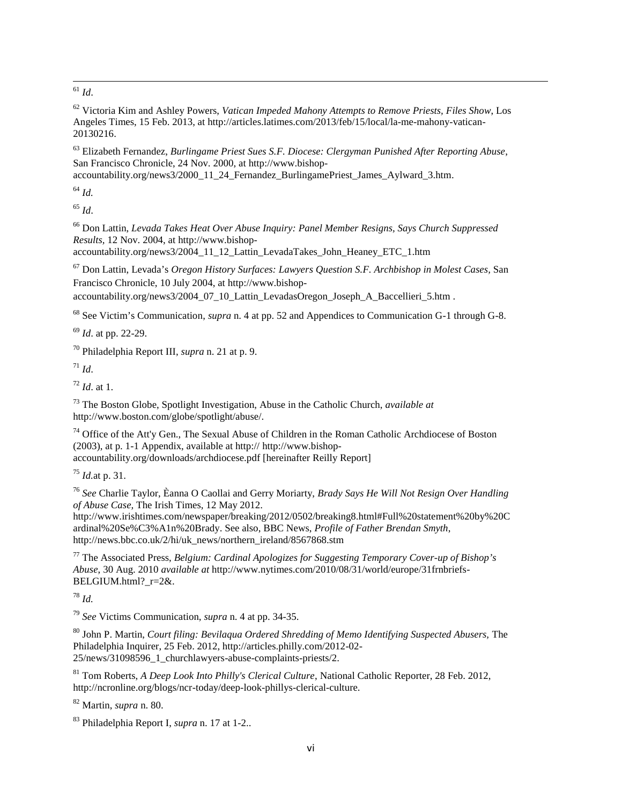<sup>61</sup> *Id*.

<sup>62</sup> Victoria Kim and Ashley Powers, *Vatican Impeded Mahony Attempts to Remove Priests, Files Show*, Los Angeles Times, 15 Feb. 2013, at http://articles.latimes.com/2013/feb/15/local/la-me-mahony-vatican- 20130216.

<sup>63</sup> Elizabeth Fernandez, *Burlingame Priest Sues S.F. Diocese: Clergyman Punished After Reporting Abuse*, San Francisco Chronicle, 24 Nov. 2000, at http://www.bishop-

accountability.org/news3/2000\_11\_24\_Fernandez\_BurlingamePriest\_James\_Aylward\_3.htm.

<sup>64</sup> *Id.*

<sup>65</sup> *Id*.

<sup>66</sup> Don Lattin, *Levada Takes Heat Over Abuse Inquiry: Panel Member Resigns, Says Church Suppressed Results,* 12 Nov. 2004, at http://www.bishop-

accountability.org/news3/2004\_11\_12\_Lattin\_LevadaTakes\_John\_Heaney\_ETC\_1.htm

<sup>67</sup> Don Lattin, Levada's *Oregon History Surfaces: Lawyers Question S.F. Archbishop in Molest Cases,* San Francisco Chronicle, 10 July 2004, at http://www.bishop accountability.org/news3/2004\_07\_10\_Lattin\_LevadasOregon\_Joseph\_A\_Baccellieri\_5.htm .

<sup>68</sup> See Victim's Communication, *supra* n. 4 at pp. 52 and Appendices to Communication G-1 through G-8.

<sup>69</sup> *Id*. at pp. 22-29.

<sup>70</sup> Philadelphia Report III, *supra* n. 21 at p. 9.

 $^{71}$  *Id.* 

<sup>72</sup> *Id*. at 1.

<sup>73</sup> The Boston Globe, Spotlight Investigation, Abuse in the Catholic Church, *available at* http://www.boston.com/globe/spotlight/abuse/.

<sup>74</sup> Office of the Att'y Gen., The Sexual Abuse of Children in the Roman Catholic Archdiocese of Boston (2003), at p. 1-1 Appendix, available at http:// http://www.bishop accountability.org/downloads/archdiocese.pdf [hereinafter Reilly Report]

<sup>75</sup> *Id.*at p. 31.

<sup>76</sup> *See* Charlie Taylor, Èanna O Caollai and Gerry Moriarty, *Brady Says He Will Not Resign Over Handling of Abuse Case,* The Irish Times, 12 May 2012.

http://www.irishtimes.com/newspaper/breaking/2012/0502/breaking8.html#Full%20statement%20by%20C ardinal%20Se%C3%A1n%20Brady. See also, BBC News, *Profile of Father Brendan Smyth*, http://news.bbc.co.uk/2/hi/uk\_news/northern\_ireland/8567868.stm

<sup>77</sup> The Associated Press, *Belgium: Cardinal Apologizes for Suggesting Temporary Cover-up of Bishop's Abuse*, 30 Aug. 2010 *available at* http://www.nytimes.com/2010/08/31/world/europe/31frnbriefs- BELGIUM.html?\_r=2&.

<sup>78</sup> *Id.*

<sup>79</sup> *See* Victims Communication, *supra* n. 4 at pp. 34-35.

<sup>80</sup> John P. Martin, *Court filing: Bevilaqua Ordered Shredding of Memo Identifying Suspected Abusers,* The Philadelphia Inquirer, 25 Feb. 2012, http://articles.philly.com/2012-02- 25/news/31098596\_1\_churchlawyers-abuse-complaints-priests/2.

<sup>81</sup> Tom Roberts, *A Deep Look Into Philly's Clerical Culture*, National Catholic Reporter, 28 Feb. 2012, http://ncronline.org/blogs/ncr-today/deep-look-phillys-clerical-culture.

<sup>82</sup> Martin, *supra* n. 80.

<sup>83</sup> Philadelphia Report I, *supra* n. 17 at 1-2..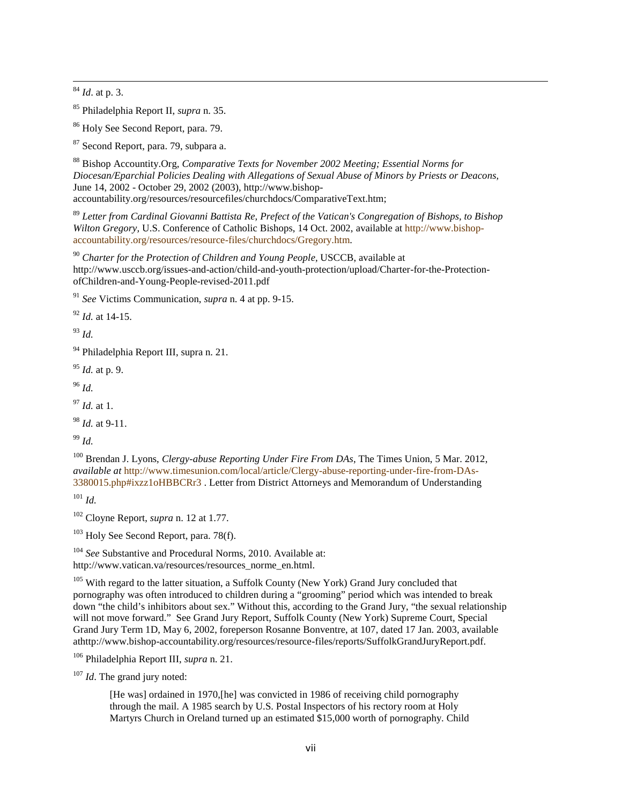<sup>84</sup> *Id*. at p. 3.

<sup>85</sup> Philadelphia Report II, *supra* n. 35.

<sup>86</sup> Holy See Second Report, para. 79.

<sup>87</sup> Second Report, para. 79, subpara a.

<sup>88</sup> Bishop Accountity.Org, *Comparative Texts for November 2002 Meeting; Essential Norms for Diocesan/Eparchial Policies Dealing with Allegations of Sexual Abuse of Minors by Priests or Deacons,* June 14, 2002 - October 29, 2002 (2003), http://www.bishop accountability.org/resources/resourcefiles/churchdocs/ComparativeText.htm;

<sup>89</sup> *Letter from Cardinal Giovanni Battista Re, Prefect of the Vatican's Congregation of Bishops, to Bishop Wilton Gregory,* U.S. Conference of Catholic Bishops, 14 Oct. 2002, available at http://www.bishop accountability.org/resources/resource-files/churchdocs/Gregory.htm.

<sup>90</sup> *Charter for the Protection of Children and Young People,* USCCB, available at http://www.usccb.org/issues-and-action/child-and-youth-protection/upload/Charter-for-the-Protection ofChildren-and-Young-People-revised-2011.pdf

<sup>91</sup> *See* Victims Communication, *supra* n. 4 at pp. 9-15.

<sup>92</sup> *Id.* at 14-15.

<sup>93</sup> *Id.*

<sup>94</sup> Philadelphia Report III, supra n. 21.

<sup>95</sup> *Id.* at p. 9.

<sup>96</sup> *Id.*

<sup>97</sup> *Id.* at 1.

<sup>98</sup> *Id.* at 9-11.

<sup>99</sup> *Id.*

<sup>100</sup> Brendan J. Lyons, *Clergy-abuse Reporting Under Fire From DAs*, The Times Union, 5 Mar. 2012, *available at* http://www.timesunion.com/local/article/Clergy-abuse-reporting-under-fire-from-DAs- 3380015.php#ixzz1oHBBCRr3 . Letter from District Attorneys and Memorandum of Understanding

<sup>101</sup> *Id.*

<sup>102</sup> Cloyne Report, *supra* n. 12 at 1.77.

 $103$  Holy See Second Report, para. 78(f).

<sup>104</sup> *See* Substantive and Procedural Norms, 2010. Available at: http://www.vatican.va/resources/resources\_norme\_en.html.

<sup>105</sup> With regard to the latter situation, a Suffolk County (New York) Grand Jury concluded that pornography was often introduced to children during a "grooming" period which was intended to break down "the child's inhibitors about sex." Without this, according to the Grand Jury, "the sexual relationship will not move forward." See Grand Jury Report, Suffolk County (New York) Supreme Court, Special Grand Jury Term 1D, May 6, 2002, foreperson Rosanne Bonventre, at 107, dated 17 Jan. 2003, available athttp://www.bishop-accountability.org/resources/resource-files/reports/SuffolkGrandJuryReport.pdf.

<sup>106</sup> Philadelphia Report III, *supra* n. 21.

<sup>107</sup> *Id*. The grand jury noted:

[He was] ordained in 1970,[he] was convicted in 1986 of receiving child pornography through the mail. A 1985 search by U.S. Postal Inspectors of his rectory room at Holy Martyrs Church in Oreland turned up an estimated \$15,000 worth of pornography. Child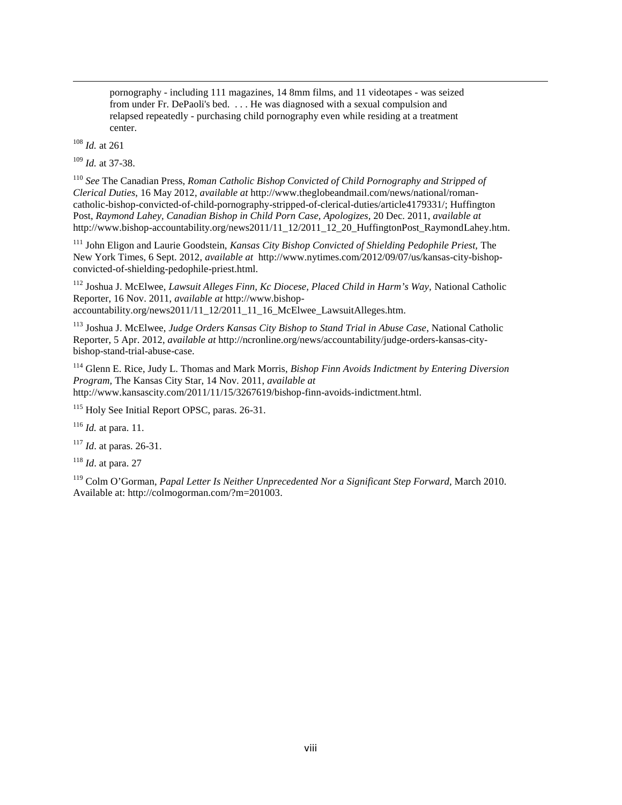pornography - including 111 magazines, 14 8mm films, and 11 videotapes - was seized from under Fr. DePaoli's bed. . . . He was diagnosed with a sexual compulsion and relapsed repeatedly - purchasing child pornography even while residing at a treatment center.

<sup>108</sup> *Id.* at 261

<sup>109</sup> *Id.* at 37-38.

<sup>110</sup> *See* The Canadian Press, *Roman Catholic Bishop Convicted of Child Pornography and Stripped of Clerical Duties*, 16 May 2012, *available at* http://www.theglobeandmail.com/news/national/roman catholic-bishop-convicted-of-child-pornography-stripped-of-clerical-duties/article4179331/; Huffington Post, *Raymond Lahey, Canadian Bishop in Child Porn Case, Apologizes,* 20 Dec. 2011, *available at* http://www.bishop-accountability.org/news2011/11\_12/2011\_12\_20\_HuffingtonPost\_RaymondLahey.htm.

<sup>111</sup> John Eligon and Laurie Goodstein, *Kansas City Bishop Convicted of Shielding Pedophile Priest,* The New York Times, 6 Sept. 2012, *available at* http://www.nytimes.com/2012/09/07/us/kansas-city-bishop convicted-of-shielding-pedophile-priest.html.

<sup>112</sup> Joshua J. McElwee, *Lawsuit Alleges Finn, Kc Diocese, Placed Child in Harm's Way,* National Catholic Reporter, 16 Nov. 2011, *available at* http://www.bishop accountability.org/news2011/11\_12/2011\_11\_16\_McElwee\_LawsuitAlleges.htm.

<sup>113</sup> Joshua J. McElwee, *Judge Orders Kansas City Bishop to Stand Trial in Abuse Case*, National Catholic Reporter, 5 Apr. 2012, *available at* http://ncronline.org/news/accountability/judge-orders-kansas-city bishop-stand-trial-abuse-case.

<sup>114</sup> Glenn E. Rice, Judy L. Thomas and Mark Morris, *Bishop Finn Avoids Indictment by Entering Diversion Program,* The Kansas City Star, 14 Nov. 2011, *available at* http://www.kansascity.com/2011/11/15/3267619/bishop-finn-avoids-indictment.html.

<sup>115</sup> Holy See Initial Report OPSC, paras. 26-31.

<sup>116</sup> *Id.* at para. 11.

<sup>117</sup> *Id*. at paras. 26-31.

<sup>118</sup> *Id*. at para. 27

<sup>119</sup> Colm O'Gorman, *Papal Letter Is Neither Unprecedented Nor a Significant Step Forward,* March 2010. Available at: http://colmogorman.com/?m=201003.